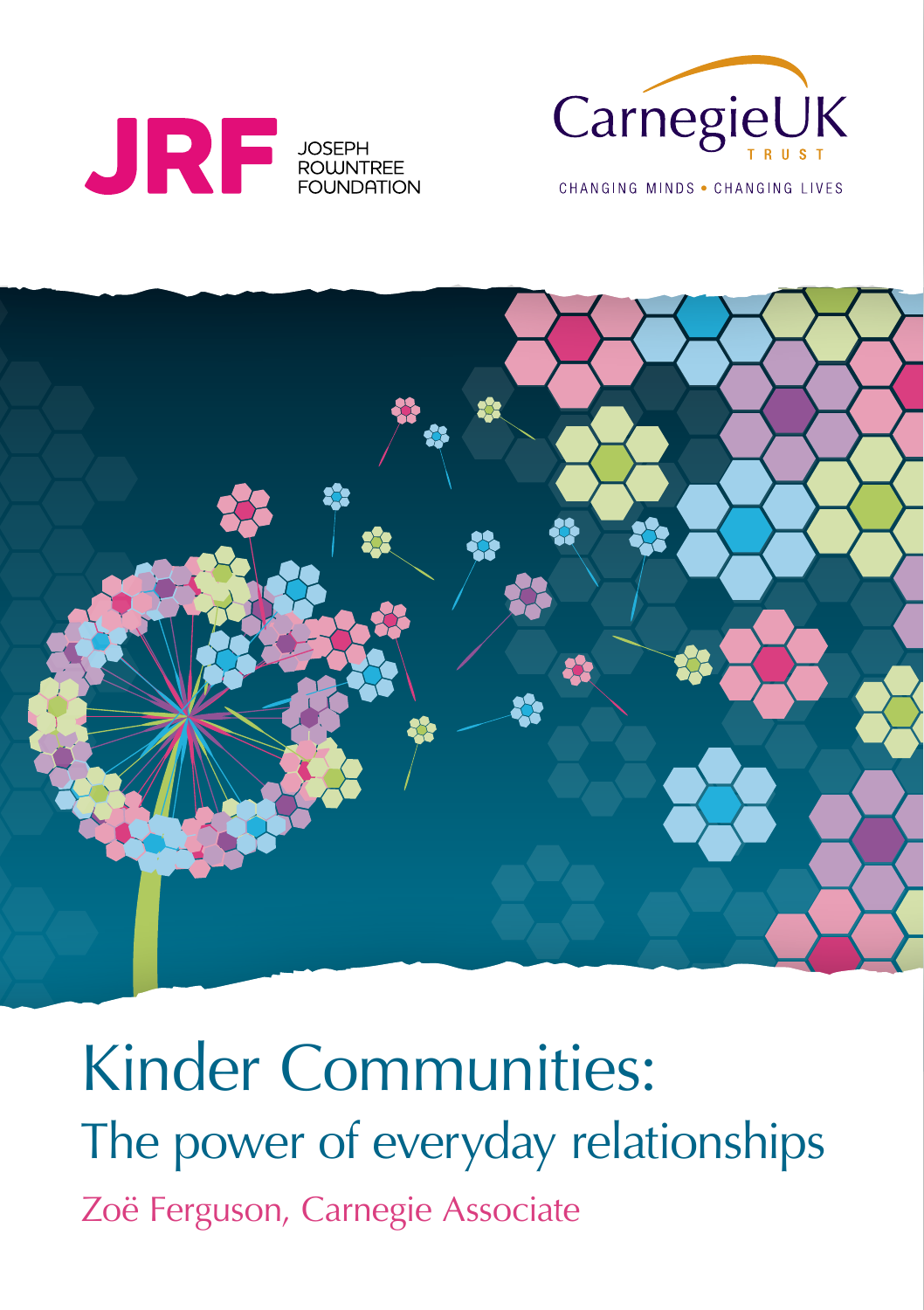



CHANGING MINDS . CHANGING LIVES



Kinder Communities: The power of everyday relationships Zoë Ferguson, Carnegie Associate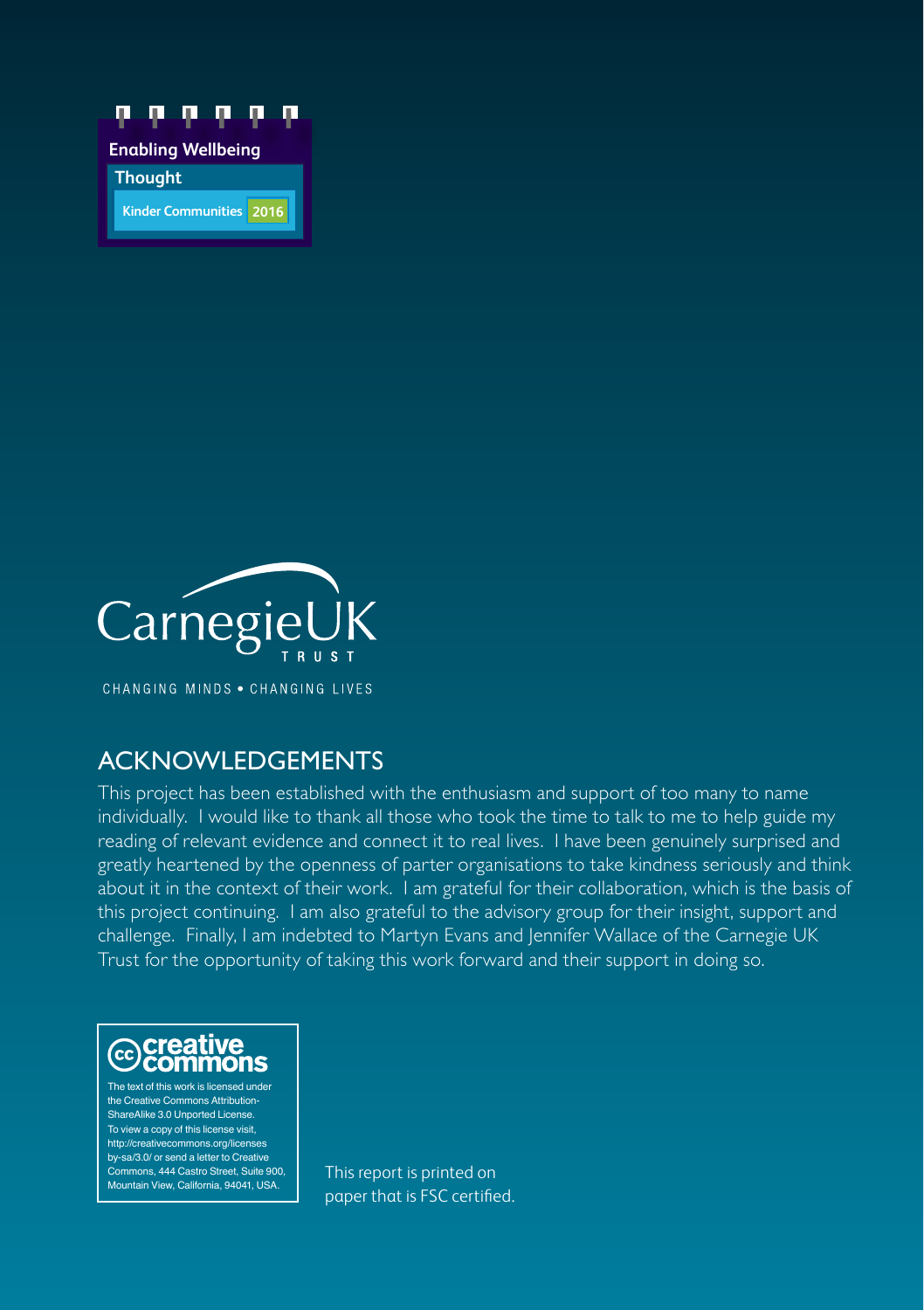



CHANGING MINDS . CHANGING LIVES

### ACKNOWLEDGEMENTS

This project has been established with the enthusiasm and support of too many to name individually. I would like to thank all those who took the time to talk to me to help guide my reading of relevant evidence and connect it to real lives. I have been genuinely surprised and greatly heartened by the openness of parter organisations to take kindness seriously and think about it in the context of their work. I am grateful for their collaboration, which is the basis of this project continuing. I am also grateful to the advisory group for their insight, support and challenge. Finally, I am indebted to Martyn Evans and Jennifer Wallace of the Carnegie UK Trust for the opportunity of taking this work forward and their support in doing so.



The text of this work is licensed under the Creative Commons Attribution-ShareAlike 3.0 Unported License. To view a copy of this license visit, http://creativecommons.org/licenses by-sa/3.0/ or send a letter to Creative Commons, 444 Castro Street, Suite 900, Mountain View, California, 94041, USA.

This report is printed on paper that is FSC certified.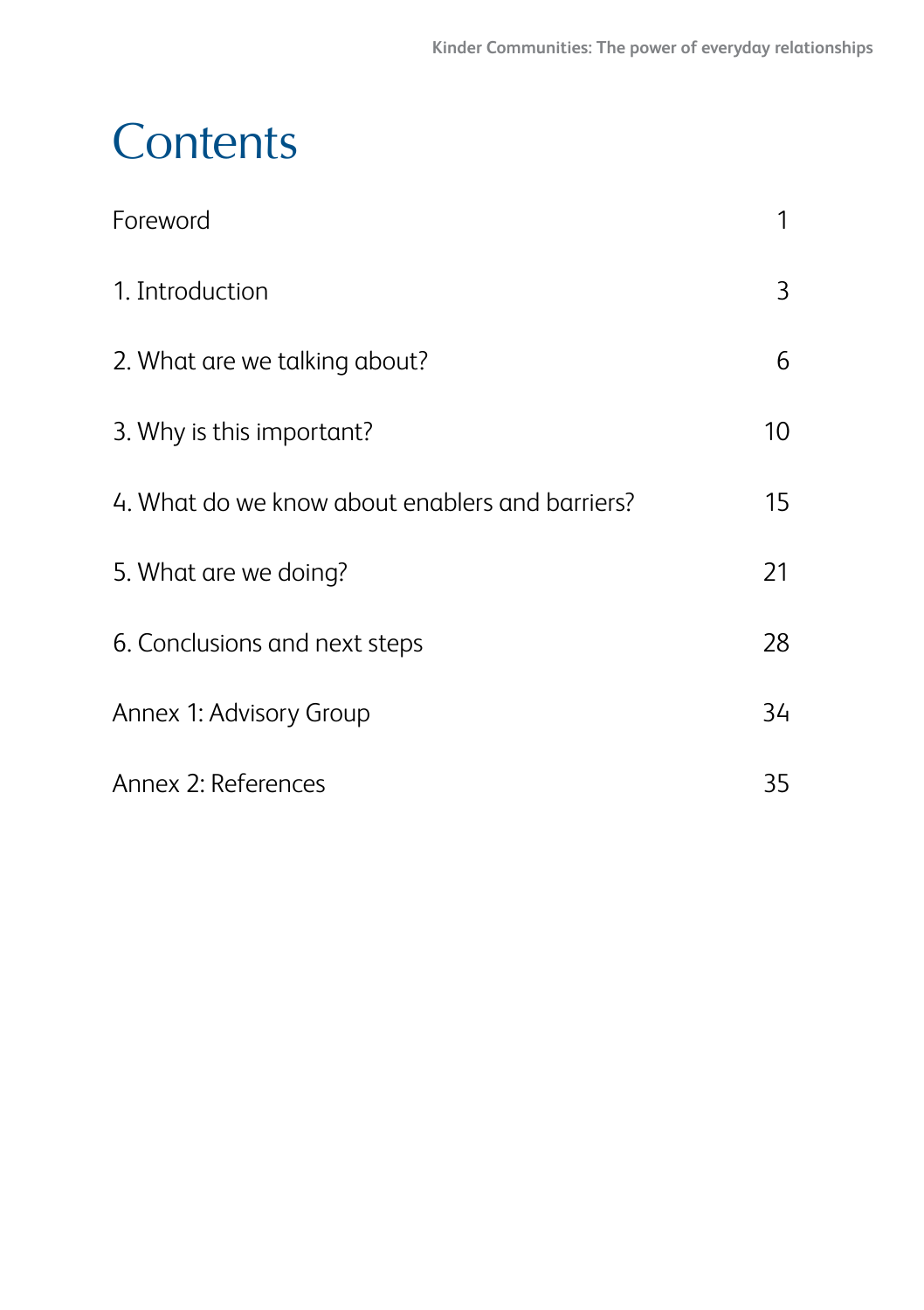## **Contents**

| Foreword                                        | 1  |
|-------------------------------------------------|----|
| 1. Introduction                                 | 3  |
| 2. What are we talking about?                   | 6  |
| 3. Why is this important?                       | 10 |
| 4. What do we know about enablers and barriers? | 15 |
| 5. What are we doing?                           | 21 |
| 6. Conclusions and next steps                   | 28 |
| Annex 1: Advisory Group                         | 34 |
| Annex 2: References                             | 35 |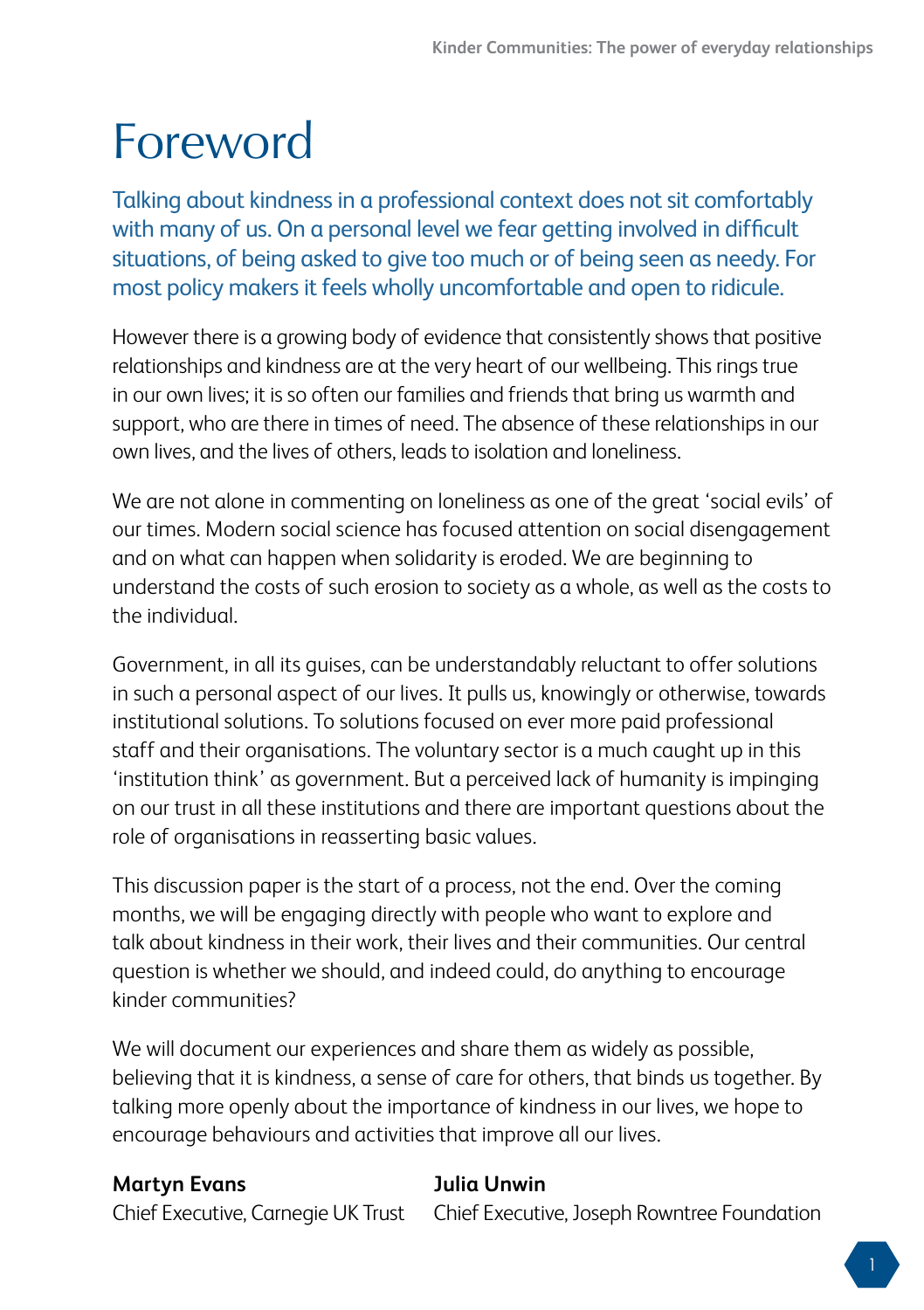## <span id="page-4-0"></span>Foreword

Talking about kindness in a professional context does not sit comfortably with many of us. On a personal level we fear getting involved in difficult situations, of being asked to give too much or of being seen as needy. For most policy makers it feels wholly uncomfortable and open to ridicule.

However there is a growing body of evidence that consistently shows that positive relationships and kindness are at the very heart of our wellbeing. This rings true in our own lives; it is so often our families and friends that bring us warmth and support, who are there in times of need. The absence of these relationships in our own lives, and the lives of others, leads to isolation and loneliness.

We are not alone in commenting on loneliness as one of the great 'social evils' of our times. Modern social science has focused attention on social disengagement and on what can happen when solidarity is eroded. We are beginning to understand the costs of such erosion to society as a whole, as well as the costs to the individual.

Government, in all its guises, can be understandably reluctant to offer solutions in such a personal aspect of our lives. It pulls us, knowingly or otherwise, towards institutional solutions. To solutions focused on ever more paid professional staff and their organisations. The voluntary sector is a much caught up in this 'institution think' as government. But a perceived lack of humanity is impinging on our trust in all these institutions and there are important questions about the role of organisations in reasserting basic values.

This discussion paper is the start of a process, not the end. Over the coming months, we will be engaging directly with people who want to explore and talk about kindness in their work, their lives and their communities. Our central question is whether we should, and indeed could, do anything to encourage kinder communities?

We will document our experiences and share them as widely as possible, believing that it is kindness, a sense of care for others, that binds us together. By talking more openly about the importance of kindness in our lives, we hope to encourage behaviours and activities that improve all our lives.

#### **Martyn Evans Julia Unwin**

Chief Executive, Carnegie UK Trust Chief Executive, Joseph Rowntree Foundation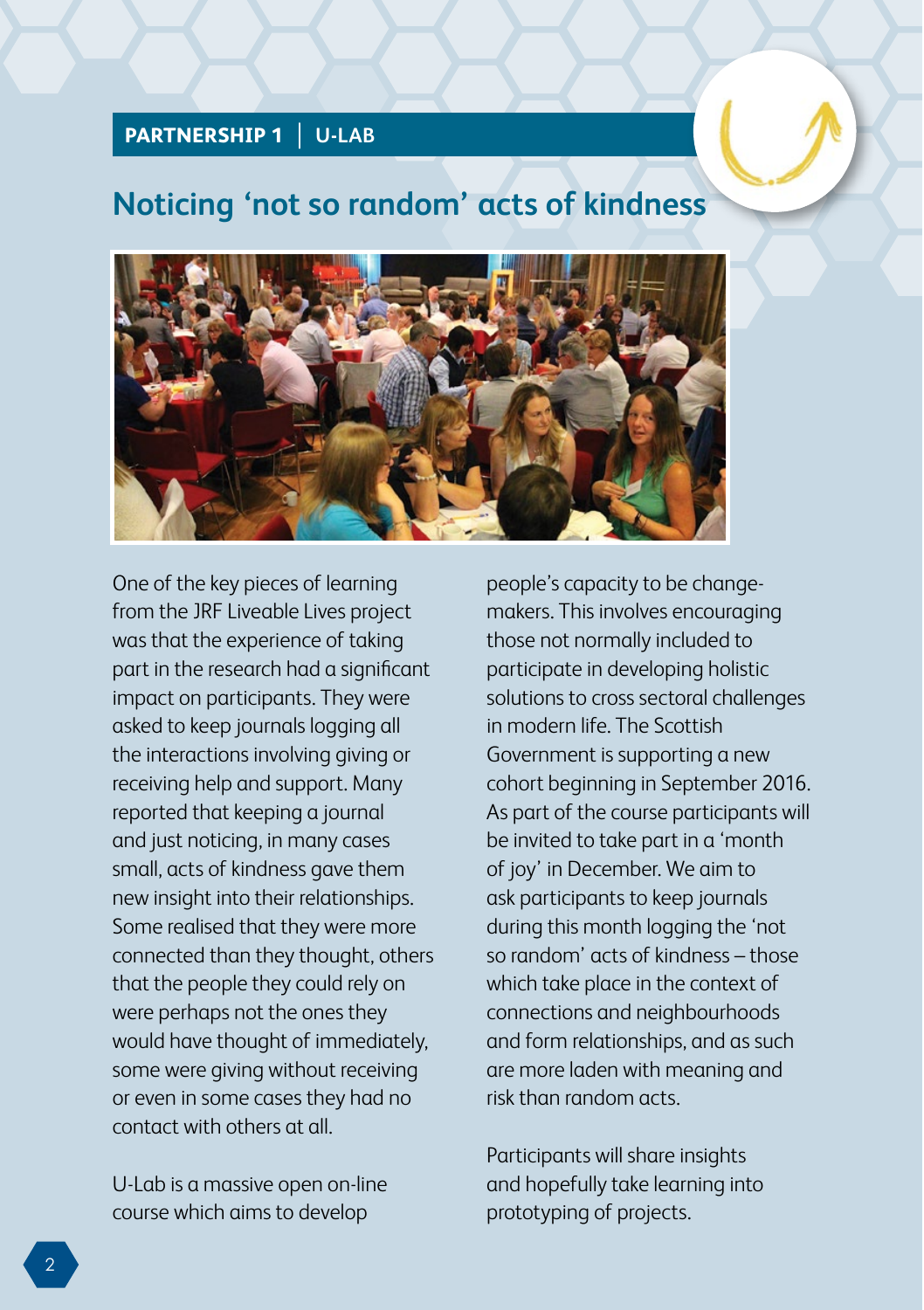#### **PARTNERSHIP 1 U-LAB**

### **Noticing 'not so random' acts of kindness**



One of the key pieces of learning from the JRF Liveable Lives project was that the experience of taking part in the research had a significant impact on participants. They were asked to keep journals logging all the interactions involving giving or receiving help and support. Many reported that keeping a journal and just noticing, in many cases small, acts of kindness gave them new insight into their relationships. Some realised that they were more connected than they thought, others that the people they could rely on were perhaps not the ones they would have thought of immediately, some were giving without receiving or even in some cases they had no contact with others at all.

U-Lab is a massive open on-line course which aims to develop

people's capacity to be changemakers. This involves encouraging those not normally included to participate in developing holistic solutions to cross sectoral challenges in modern life. The Scottish Government is supporting a new cohort beginning in September 2016. As part of the course participants will be invited to take part in a 'month of joy' in December. We aim to ask participants to keep journals during this month logging the 'not so random' acts of kindness – those which take place in the context of connections and neighbourhoods and form relationships, and as such are more laden with meaning and risk than random acts.

Participants will share insights and hopefully take learning into prototyping of projects.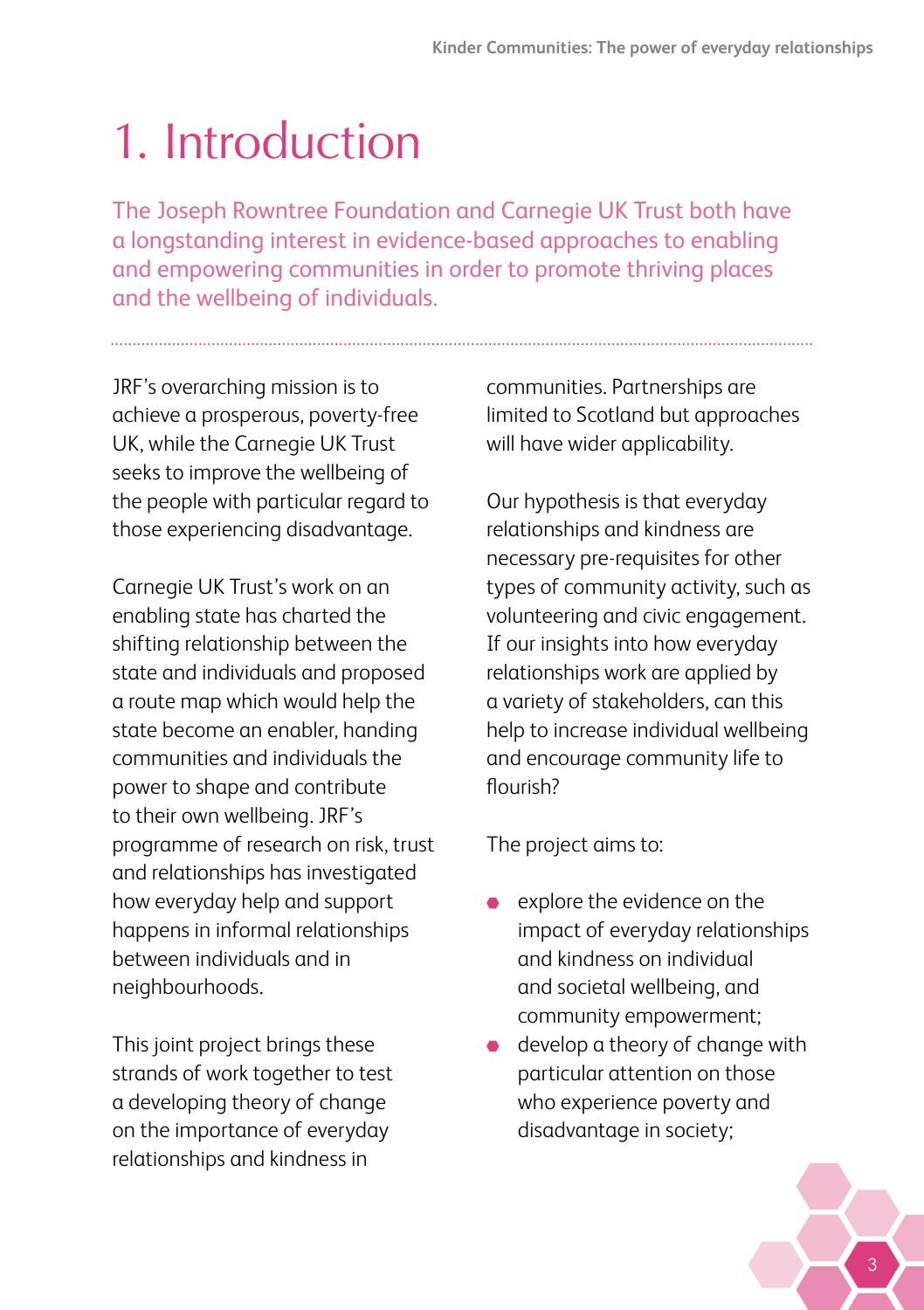# <span id="page-6-0"></span>1. Introduction

The Joseph Rowntree Foundation and Carnegie UK Trust both have a longstanding interest in evidence-based approaches to enabling and empowering communities in order to promote thriving places and the wellbeing of individuals.

JRF's overarching mission is to achieve a prosperous, poverty-free UK, while the Carnegie UK Trust seeks to improve the wellbeing of the people with particular regard to those experiencing disadvantage.

Carnegie UK Trust's work on an enabling state has charted the shifting relationship between the state and individuals and proposed a route map which would help the state become an enabler, handing communities and individuals the power to shape and contribute to their own wellbeing. JRF's programme of research on risk, trust and relationships has investigated how everyday help and support happens in informal relationships between individuals and in neighbourhoods.

This joint project brings these strands of work together to test a developing theory of change on the importance of everyday relationships and kindness in

communities. Partnerships are limited to Scotland but approaches will have wider applicability.

Our hypothesis is that everyday relationships and kindness are necessary pre-requisites for other types of community activity, such as volunteering and civic engagement. If our insights into how everyday relationships work are applied by a variety of stakeholders, can this help to increase individual wellbeing and encourage community life to flourish?

The project aims to:

- explore the evidence on the impact of everyday relationships and kindness on individual and societal wellbeing, and community empowerment;
- develop a theory of change with particular attention on those who experience poverty and disadvantage in society;

3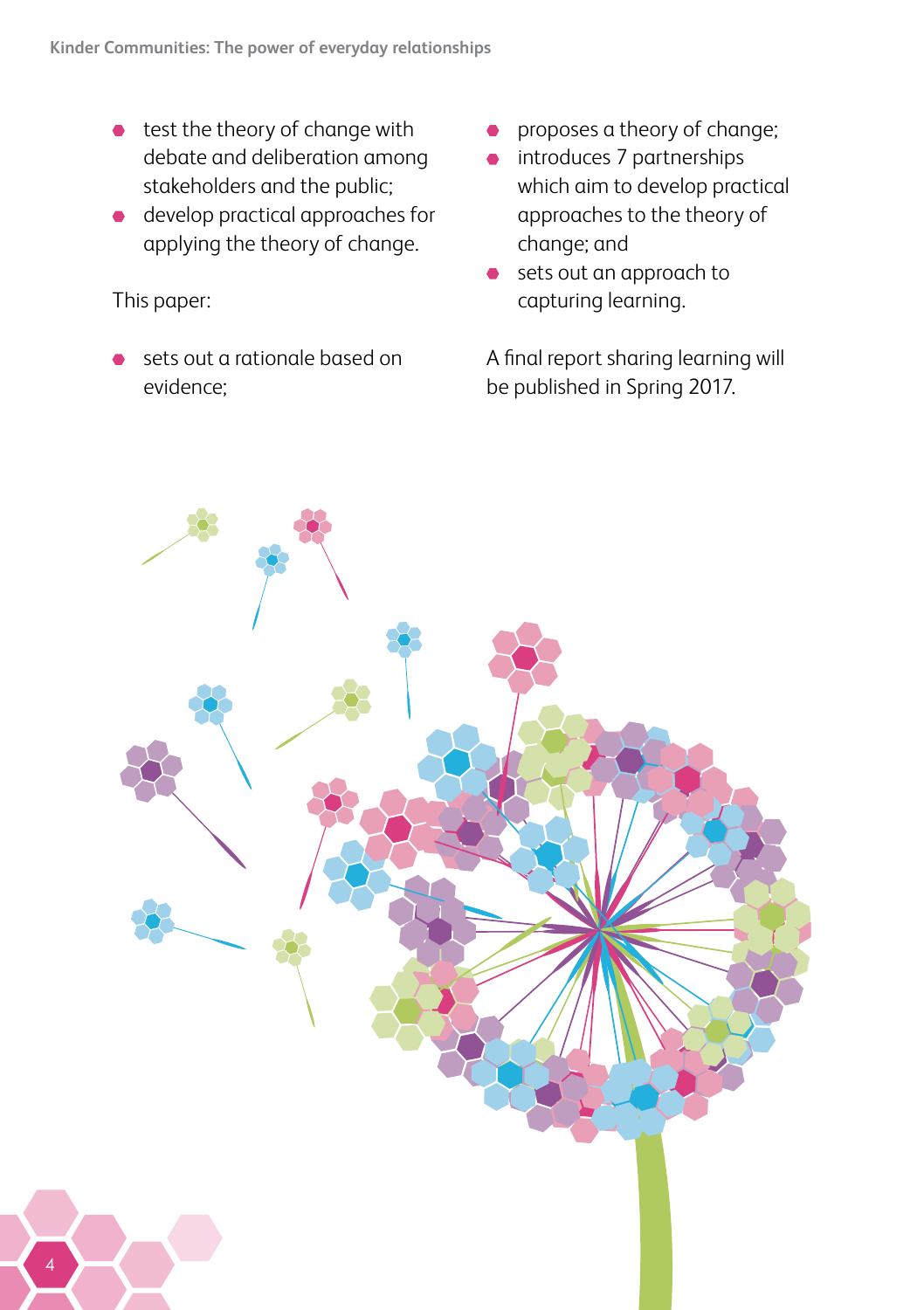- $\bullet$  test the theory of change with debate and deliberation among stakeholders and the public;
- develop practical approaches for applying the theory of change.

#### This paper:

sets out a rationale based on evidence;

- proposes a theory of change;
- introduces 7 partnerships which aim to develop practical approaches to the theory of change; and
- sets out an approach to capturing learning.

A final report sharing learning will be published in Spring 2017.

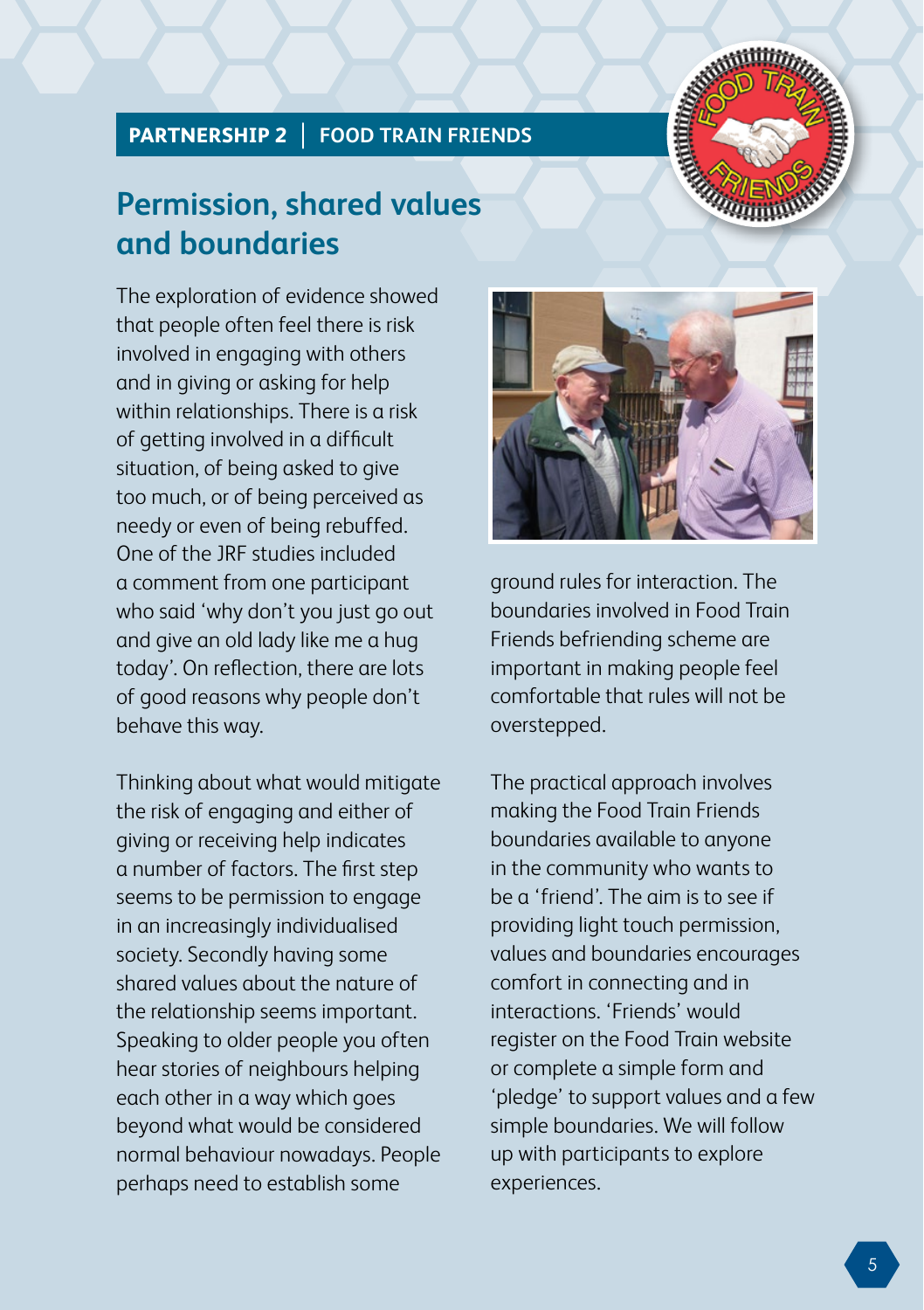#### **PARTNERSHIP 2 FOOD TRAIN FRIENDS**



### **Permission, shared values and boundaries**

The exploration of evidence showed that people often feel there is risk involved in engaging with others and in giving or asking for help within relationships. There is a risk of getting involved in a difficult situation, of being asked to give too much, or of being perceived as needy or even of being rebuffed. One of the JRF studies included a comment from one participant who said 'why don't you just go out and give an old lady like me a hug today'. On reflection, there are lots of good reasons why people don't behave this way.

Thinking about what would mitigate the risk of engaging and either of giving or receiving help indicates a number of factors. The first step seems to be permission to engage in an increasingly individualised society. Secondly having some shared values about the nature of the relationship seems important. Speaking to older people you often hear stories of neighbours helping each other in a way which goes beyond what would be considered normal behaviour nowadays. People perhaps need to establish some



ground rules for interaction. The boundaries involved in Food Train Friends befriending scheme are important in making people feel comfortable that rules will not be overstepped.

The practical approach involves making the Food Train Friends boundaries available to anyone in the community who wants to be a 'friend'. The aim is to see if providing light touch permission, values and boundaries encourages comfort in connecting and in interactions. 'Friends' would register on the Food Train website or complete a simple form and 'pledge' to support values and a few simple boundaries. We will follow up with participants to explore experiences.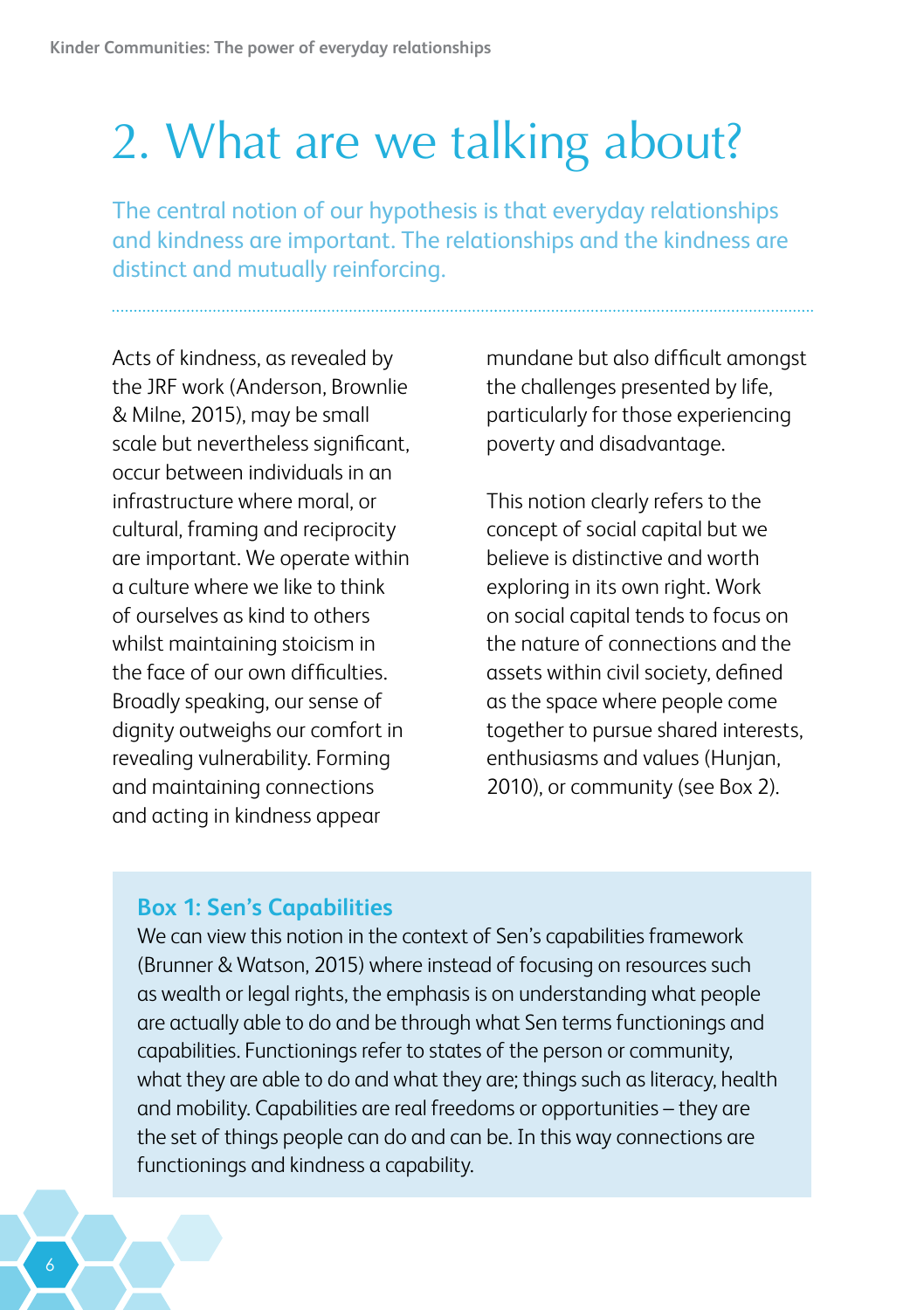## <span id="page-9-0"></span>2. What are we talking about?

The central notion of our hypothesis is that everyday relationships and kindness are important. The relationships and the kindness are distinct and mutually reinforcing.

Acts of kindness, as revealed by the JRF work (Anderson, Brownlie & Milne, 2015), may be small scale but nevertheless significant, occur between individuals in an infrastructure where moral, or cultural, framing and reciprocity are important. We operate within a culture where we like to think of ourselves as kind to others whilst maintaining stoicism in the face of our own difficulties. Broadly speaking, our sense of dignity outweighs our comfort in revealing vulnerability. Forming and maintaining connections and acting in kindness appear

mundane but also difficult amongst the challenges presented by life, particularly for those experiencing poverty and disadvantage.

This notion clearly refers to the concept of social capital but we believe is distinctive and worth exploring in its own right. Work on social capital tends to focus on the nature of connections and the assets within civil society, defined as the space where people come together to pursue shared interests, enthusiasms and values (Hunjan, 2010), or community (see Box 2).

#### **Box 1: Sen's Capabilities**

We can view this notion in the context of Sen's capabilities framework (Brunner & Watson, 2015) where instead of focusing on resources such as wealth or legal rights, the emphasis is on understanding what people are actually able to do and be through what Sen terms functionings and capabilities. Functionings refer to states of the person or community, what they are able to do and what they are; things such as literacy, health and mobility. Capabilities are real freedoms or opportunities – they are the set of things people can do and can be. In this way connections are functionings and kindness a capability.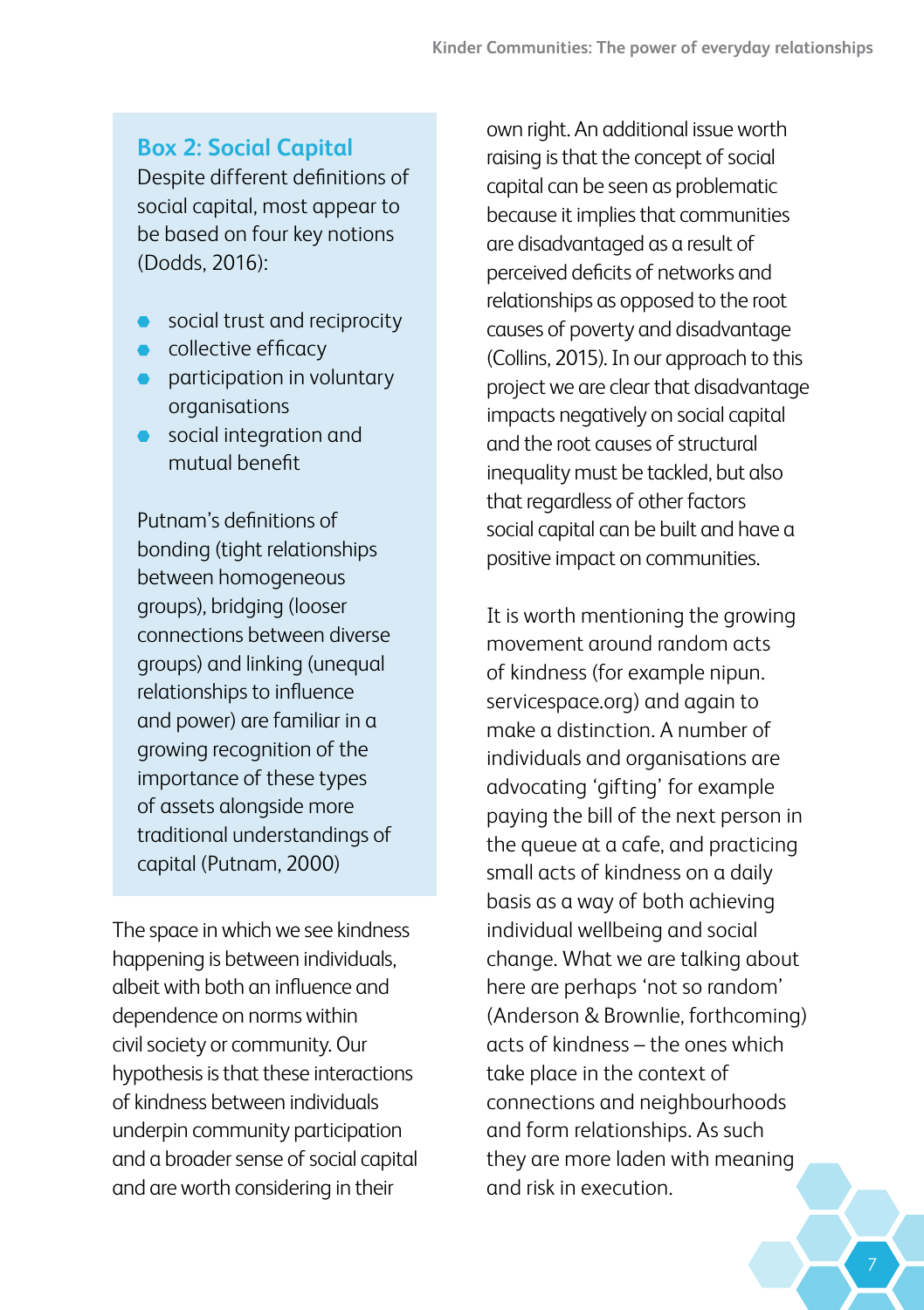#### **Box 2: Social Capital**

Despite different definitions of social capital, most appear to be based on four key notions (Dodds, 2016):

- social trust and reciprocity
- collective efficacy
- **participation in voluntary** organisations
- **•** social integration and mutual benefit

Putnam's definitions of bonding (tight relationships between homogeneous groups), bridging (looser connections between diverse groups) and linking (unequal relationships to influence and power) are familiar in a growing recognition of the importance of these types of assets alongside more traditional understandings of capital (Putnam, 2000)

The space in which we see kindness happening is between individuals, albeit with both an influence and dependence on norms within civil society or community. Our hypothesis is that these interactions of kindness between individuals underpin community participation and a broader sense of social capital and are worth considering in their

own right. An additional issue worth raising is that the concept of social capital can be seen as problematic because it implies that communities are disadvantaged as a result of perceived deficits of networks and relationships as opposed to the root causes of poverty and disadvantage (Collins, 2015). In our approach to this project we are clear that disadvantage impacts negatively on social capital and the root causes of structural inequality must be tackled, but also that regardless of other factors social capital can be built and have a positive impact on communities.

It is worth mentioning the growing movement around random acts of kindness (for example nipun. servicespace.org) and again to make a distinction. A number of individuals and organisations are advocating 'gifting' for example paying the bill of the next person in the queue at a cafe, and practicing small acts of kindness on a daily basis as a way of both achieving individual wellbeing and social change. What we are talking about here are perhaps 'not so random' (Anderson & Brownlie, forthcoming) acts of kindness – the ones which take place in the context of connections and neighbourhoods and form relationships. As such they are more laden with meaning and risk in execution.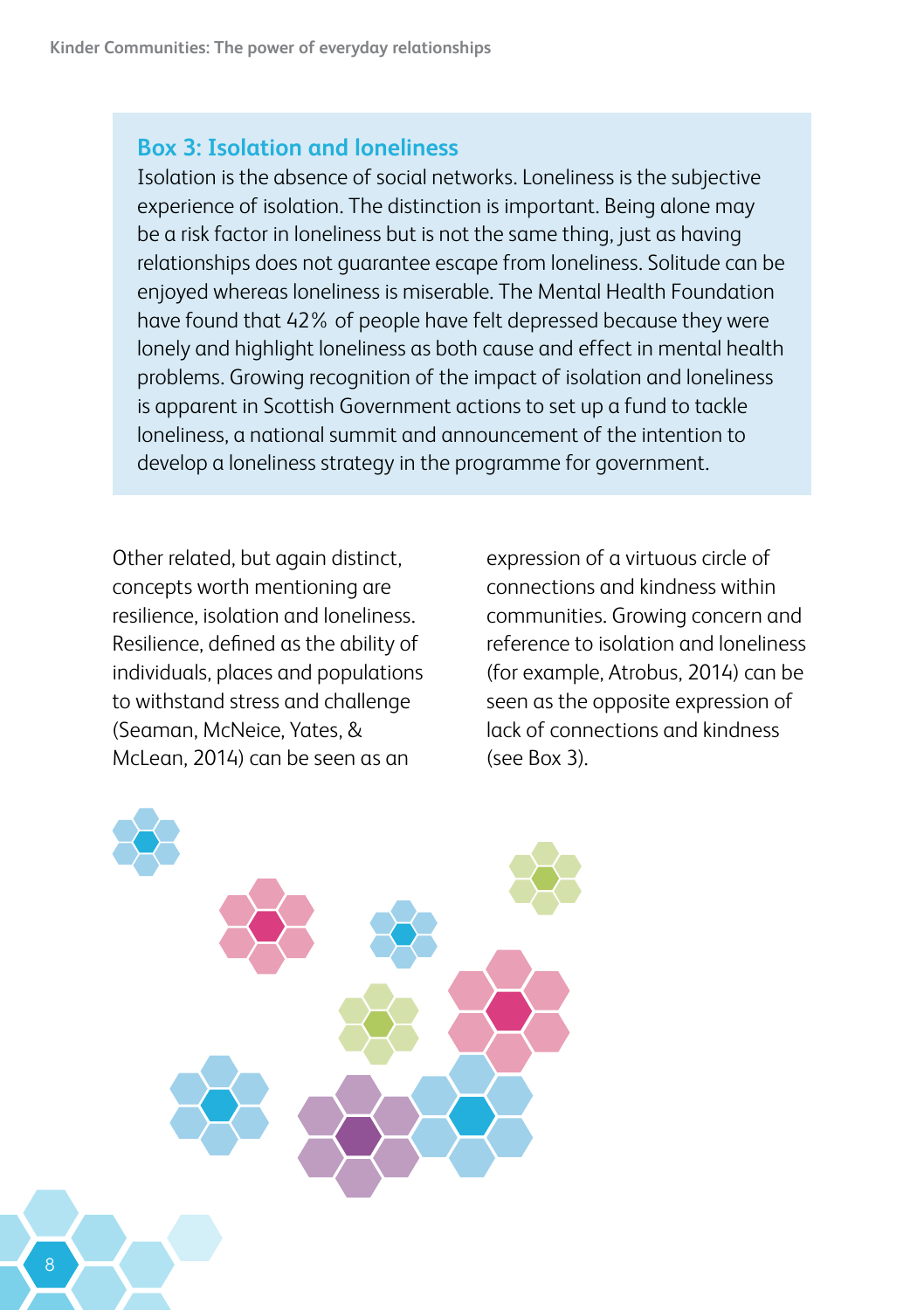#### **Box 3: Isolation and loneliness**

Isolation is the absence of social networks. Loneliness is the subjective experience of isolation. The distinction is important. Being alone may be a risk factor in loneliness but is not the same thing, just as having relationships does not guarantee escape from loneliness. Solitude can be enjoyed whereas loneliness is miserable. The Mental Health Foundation have found that 42% of people have felt depressed because they were lonely and highlight loneliness as both cause and effect in mental health problems. Growing recognition of the impact of isolation and loneliness is apparent in Scottish Government actions to set up a fund to tackle loneliness, a national summit and announcement of the intention to develop a loneliness strategy in the programme for government.

Other related, but again distinct, concepts worth mentioning are resilience, isolation and loneliness. Resilience, defined as the ability of individuals, places and populations to withstand stress and challenge (Seaman, McNeice, Yates, & McLean, 2014) can be seen as an

expression of a virtuous circle of connections and kindness within communities. Growing concern and reference to isolation and loneliness (for example, Atrobus, 2014) can be seen as the opposite expression of lack of connections and kindness (see Box 3).

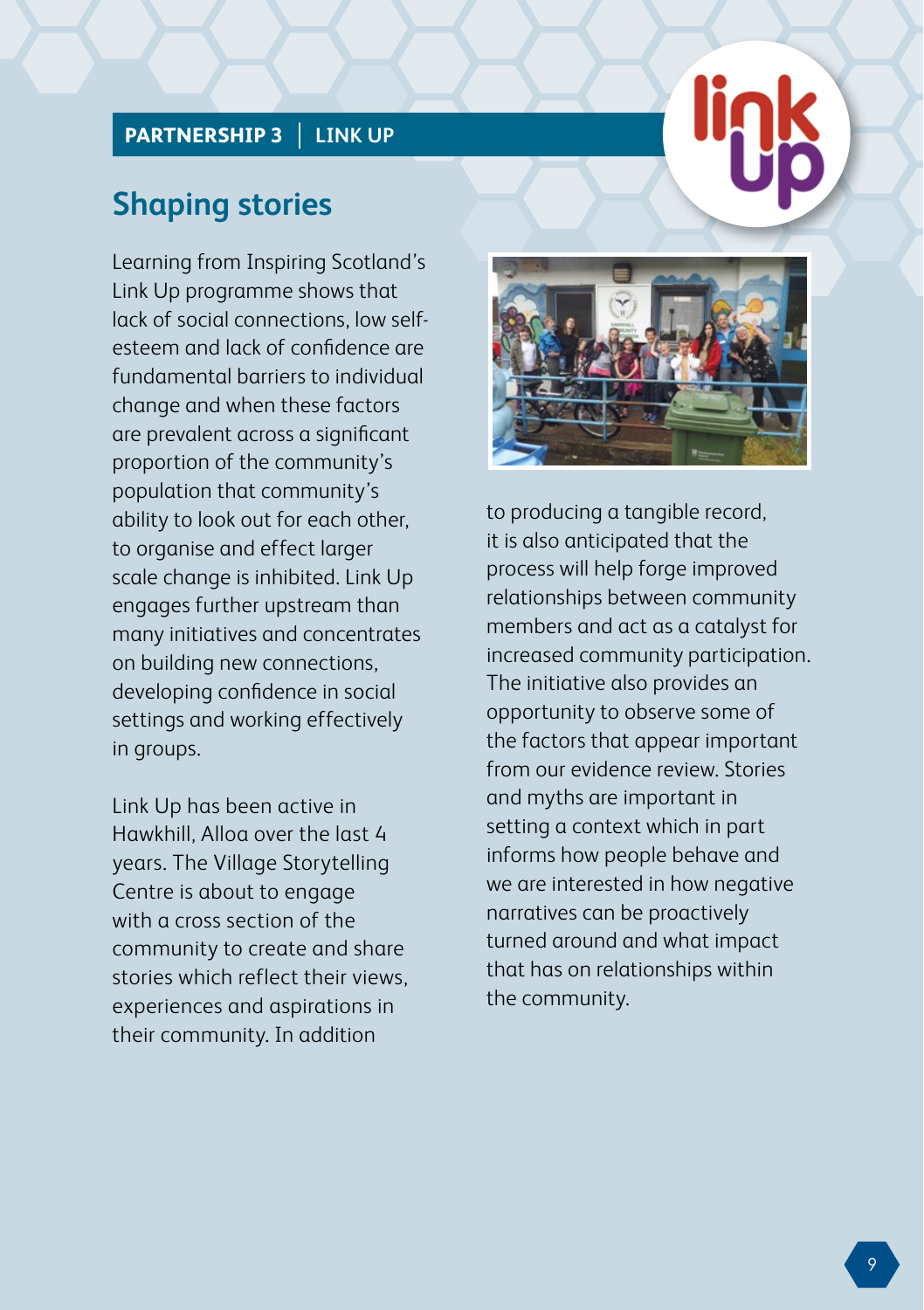#### **PARTNERSHIP 3 LINK UP**

### **Shaping stories**

Learning from Inspiring Scotland's Link Up programme shows that lack of social connections, low selfesteem and lack of confidence are fundamental barriers to individual change and when these factors are prevalent across a significant proportion of the community's population that community's ability to look out for each other, to organise and effect larger scale change is inhibited. Link Up engages further upstream than many initiatives and concentrates on building new connections, developing confidence in social settings and working effectively in groups.

Link Up has been active in Hawkhill, Alloa over the last 4 years. The Village Storytelling Centre is about to engage with a cross section of the community to create and share stories which reflect their views, experiences and aspirations in their community. In addition



**Kinder Communities: The power of everyday relationships**

to producing a tangible record, it is also anticipated that the process will help forge improved relationships between community members and act as a catalyst for increased community participation. The initiative also provides an opportunity to observe some of the factors that appear important from our evidence review. Stories and myths are important in setting a context which in part informs how people behave and we are interested in how negative narratives can be proactively turned around and what impact that has on relationships within the community.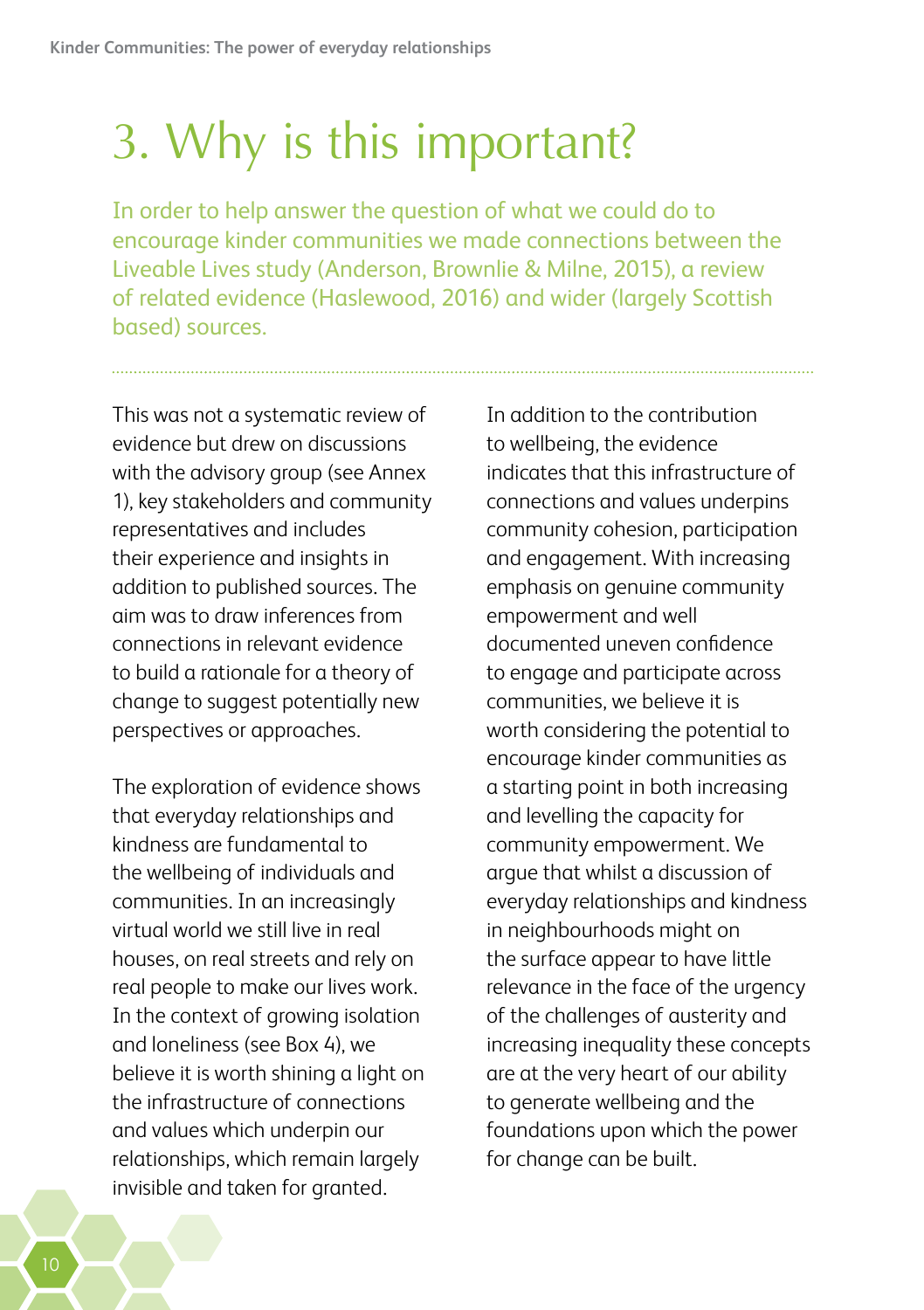## <span id="page-13-0"></span>3. Why is this important?

In order to help answer the question of what we could do to encourage kinder communities we made connections between the Liveable Lives study (Anderson, Brownlie & Milne, 2015), a review of related evidence (Haslewood, 2016) and wider (largely Scottish based) sources.

This was not a systematic review of evidence but drew on discussions with the advisory group (see Annex 1), key stakeholders and community representatives and includes their experience and insights in addition to published sources. The aim was to draw inferences from connections in relevant evidence to build a rationale for a theory of change to suggest potentially new perspectives or approaches.

The exploration of evidence shows that everyday relationships and kindness are fundamental to the wellbeing of individuals and communities. In an increasingly virtual world we still live in real houses, on real streets and rely on real people to make our lives work. In the context of growing isolation and loneliness (see Box 4), we believe it is worth shining a light on the infrastructure of connections and values which underpin our relationships, which remain largely invisible and taken for granted.

In addition to the contribution to wellbeing, the evidence indicates that this infrastructure of connections and values underpins community cohesion, participation and engagement. With increasing emphasis on genuine community empowerment and well documented uneven confidence to engage and participate across communities, we believe it is worth considering the potential to encourage kinder communities as a starting point in both increasing and levelling the capacity for community empowerment. We argue that whilst a discussion of everyday relationships and kindness in neighbourhoods might on the surface appear to have little relevance in the face of the urgency of the challenges of austerity and increasing inequality these concepts are at the very heart of our ability to generate wellbeing and the foundations upon which the power for change can be built.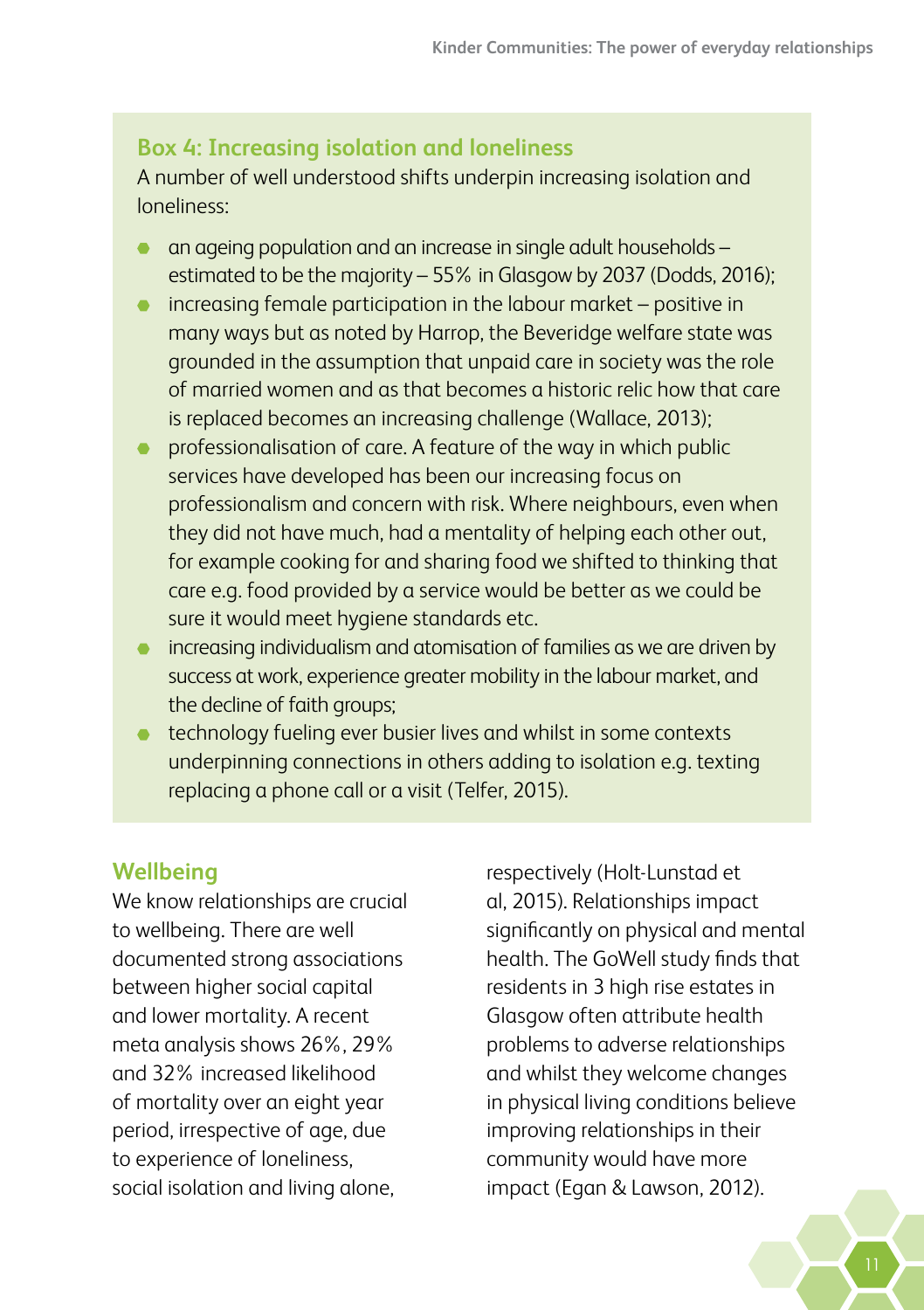#### **Box 4: Increasing isolation and loneliness**

A number of well understood shifts underpin increasing isolation and loneliness:

- an ageing population and an increase in single adult households estimated to be the majority – 55% in Glasgow by 2037 (Dodds, 2016);
- increasing female participation in the labour market positive in many ways but as noted by Harrop, the Beveridge welfare state was grounded in the assumption that unpaid care in society was the role of married women and as that becomes a historic relic how that care is replaced becomes an increasing challenge (Wallace, 2013);
- professionalisation of care. A feature of the way in which public services have developed has been our increasing focus on professionalism and concern with risk. Where neighbours, even when they did not have much, had a mentality of helping each other out, for example cooking for and sharing food we shifted to thinking that care e.g. food provided by a service would be better as we could be sure it would meet hygiene standards etc.
- $\bullet$  increasing individualism and atomisation of families as we are driven by success at work, experience greater mobility in the labour market, and the decline of faith groups;
- **the extending the ling ever busier lives and whilst in some contexts** underpinning connections in others adding to isolation e.g. texting replacing a phone call or a visit (Telfer, 2015).

#### **Wellbeing**

We know relationships are crucial to wellbeing. There are well documented strong associations between higher social capital and lower mortality. A recent meta analysis shows 26%, 29% and 32% increased likelihood of mortality over an eight year period, irrespective of age, due to experience of loneliness, social isolation and living alone,

respectively (Holt-Lunstad et al, 2015). Relationships impact significantly on physical and mental health. The GoWell study finds that residents in 3 high rise estates in Glasgow often attribute health problems to adverse relationships and whilst they welcome changes in physical living conditions believe improving relationships in their community would have more impact (Egan & Lawson, 2012).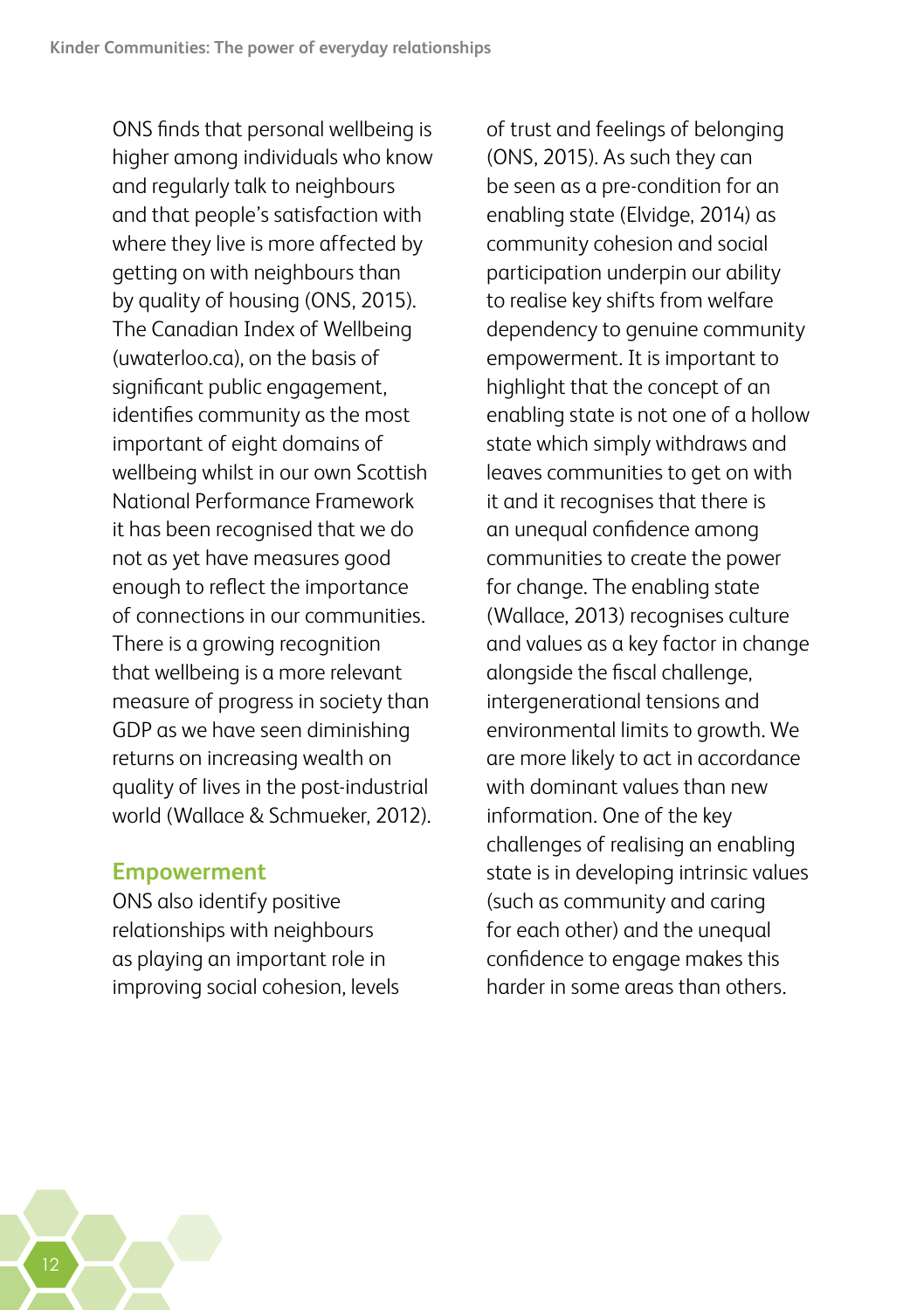ONS finds that personal wellbeing is higher among individuals who know and regularly talk to neighbours and that people's satisfaction with where they live is more affected by getting on with neighbours than by quality of housing (ONS, 2015). The Canadian Index of Wellbeing (uwaterloo.ca), on the basis of significant public engagement, identifies community as the most important of eight domains of wellbeing whilst in our own Scottish National Performance Framework it has been recognised that we do not as yet have measures good enough to reflect the importance of connections in our communities. There is a growing recognition that wellbeing is a more relevant measure of progress in society than GDP as we have seen diminishing returns on increasing wealth on quality of lives in the post-industrial world (Wallace & Schmueker, 2012).

#### **Empowerment**

ONS also identify positive relationships with neighbours as playing an important role in improving social cohesion, levels

of trust and feelings of belonging (ONS, 2015). As such they can be seen as a pre-condition for an enabling state (Elvidge, 2014) as community cohesion and social participation underpin our ability to realise key shifts from welfare dependency to genuine community empowerment. It is important to highlight that the concept of an enabling state is not one of a hollow state which simply withdraws and leaves communities to get on with it and it recognises that there is an unequal confidence among communities to create the power for change. The enabling state (Wallace, 2013) recognises culture and values as a key factor in change alongside the fiscal challenge, intergenerational tensions and environmental limits to growth. We are more likely to act in accordance with dominant values than new information. One of the key challenges of realising an enabling state is in developing intrinsic values (such as community and caring for each other) and the unequal confidence to engage makes this harder in some areas than others.

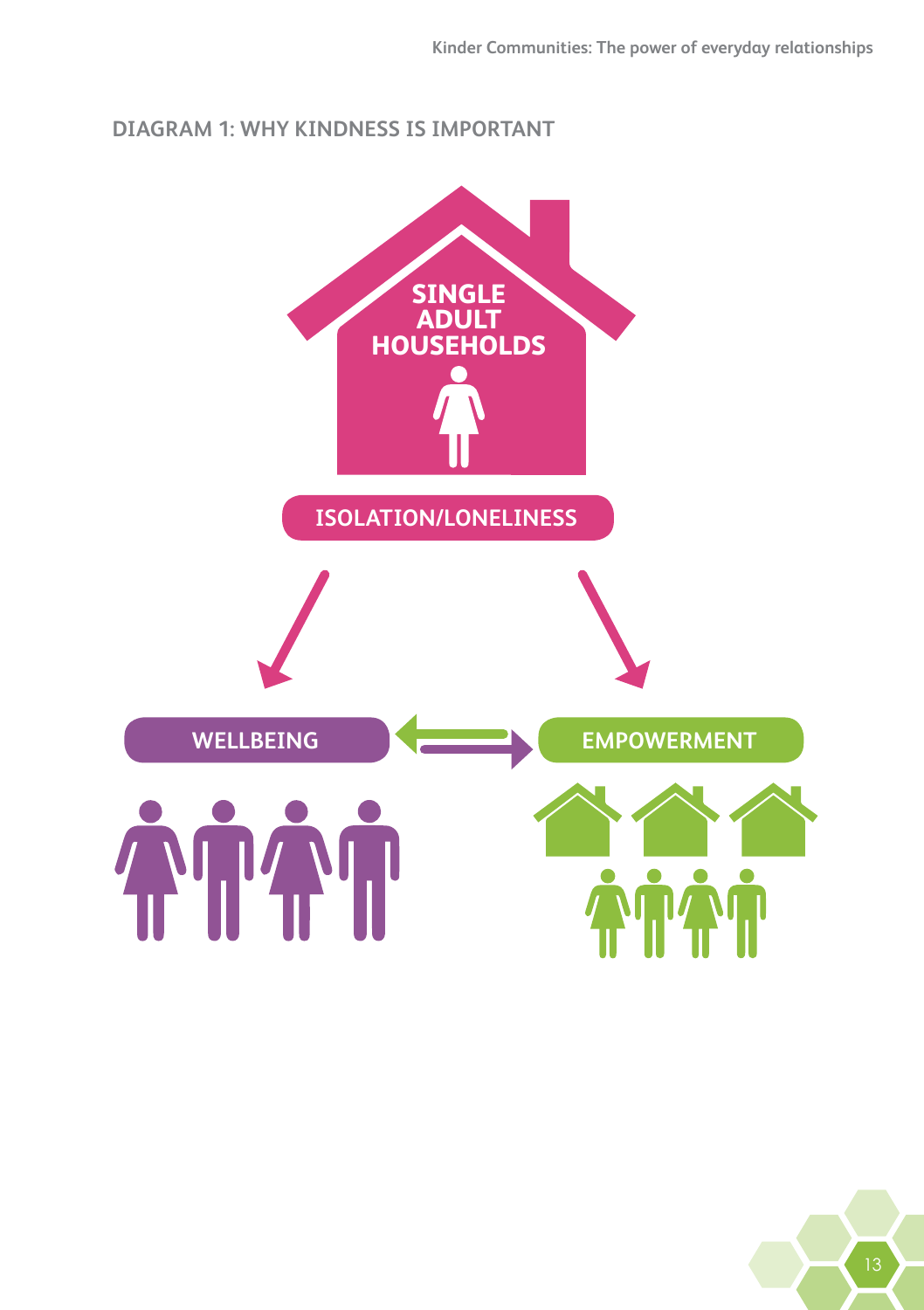#### **DIAGRAM 1: WHY KINDNESS IS IMPORTANT**

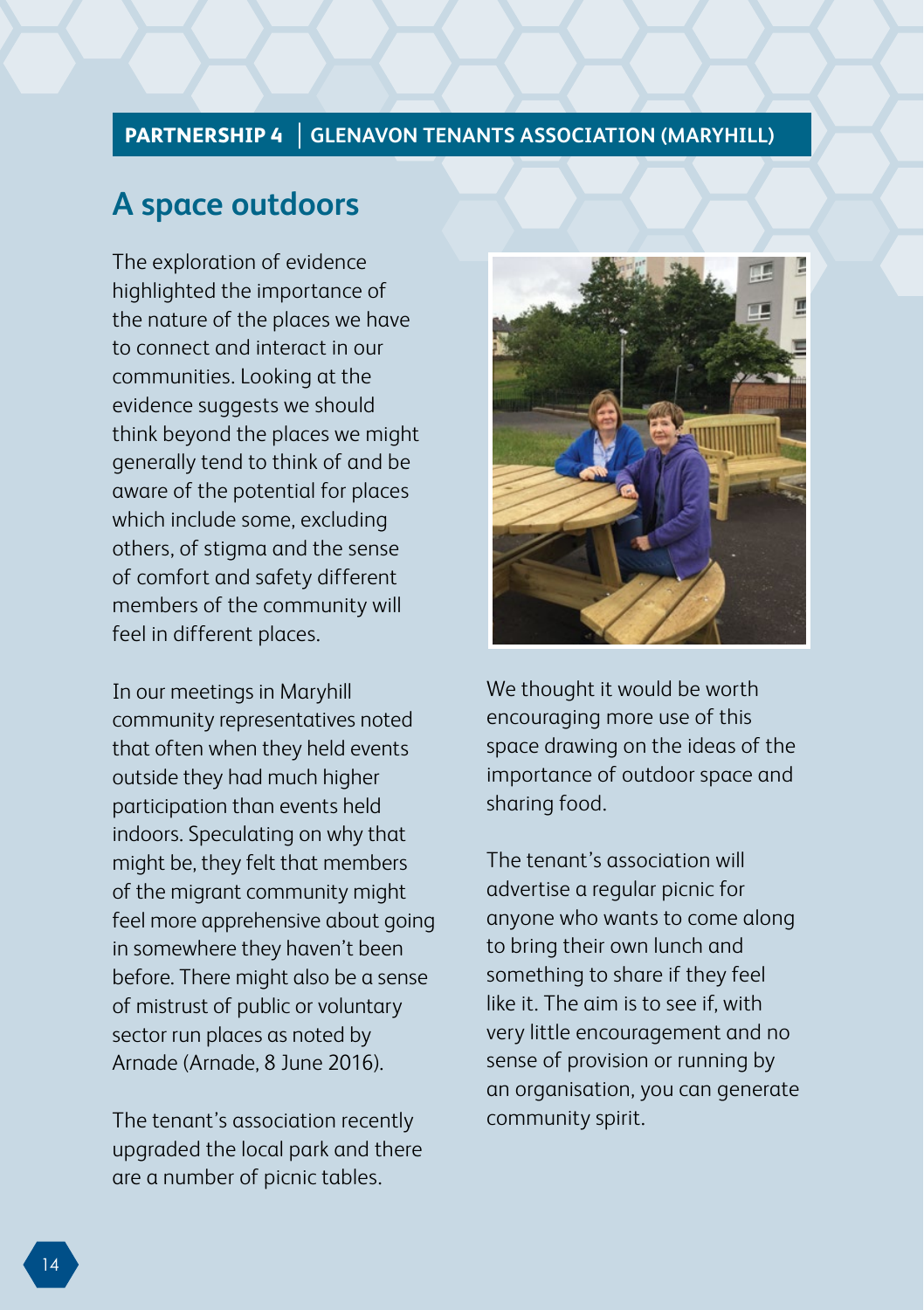#### **PARTNERSHIP 4 GLENAVON TENANTS ASSOCIATION (MARYHILL)**

### **A space outdoors**

The exploration of evidence highlighted the importance of the nature of the places we have to connect and interact in our communities. Looking at the evidence suggests we should think beyond the places we might generally tend to think of and be aware of the potential for places which include some, excluding others, of stigma and the sense of comfort and safety different members of the community will feel in different places.

In our meetings in Maryhill community representatives noted that often when they held events outside they had much higher participation than events held indoors. Speculating on why that might be, they felt that members of the migrant community might feel more apprehensive about going in somewhere they haven't been before. There might also be a sense of mistrust of public or voluntary sector run places as noted by Arnade (Arnade, 8 June 2016).

The tenant's association recently upgraded the local park and there are a number of picnic tables.



We thought it would be worth encouraging more use of this space drawing on the ideas of the importance of outdoor space and sharing food.

The tenant's association will advertise a regular picnic for anyone who wants to come along to bring their own lunch and something to share if they feel like it. The aim is to see if, with very little encouragement and no sense of provision or running by an organisation, you can generate community spirit.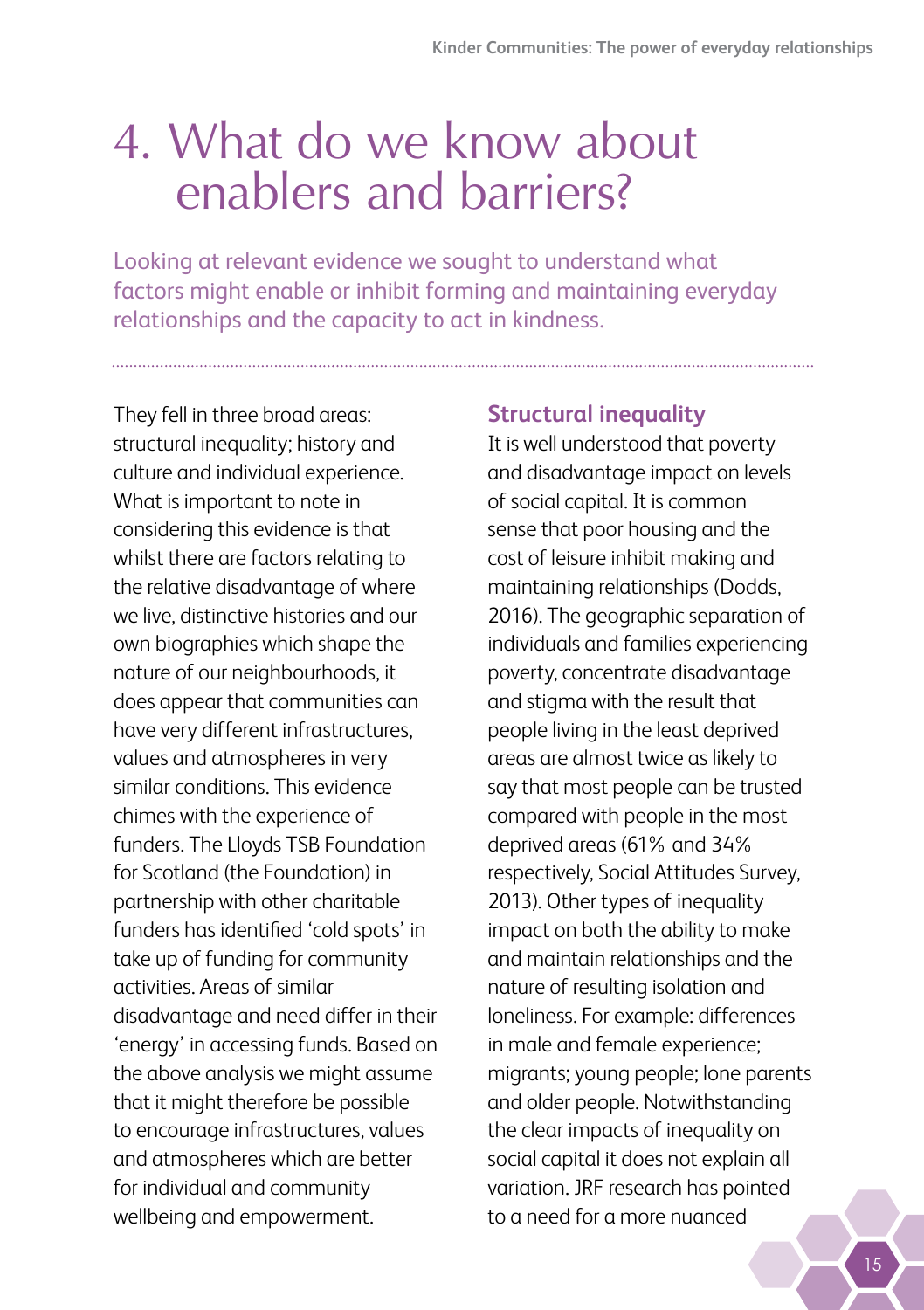## <span id="page-18-0"></span>4. What do we know about enablers and barriers?

Looking at relevant evidence we sought to understand what factors might enable or inhibit forming and maintaining everyday relationships and the capacity to act in kindness.

They fell in three broad areas: structural inequality; history and culture and individual experience. What is important to note in considering this evidence is that whilst there are factors relating to the relative disadvantage of where we live, distinctive histories and our own biographies which shape the nature of our neighbourhoods, it does appear that communities can have very different infrastructures, values and atmospheres in very similar conditions. This evidence chimes with the experience of funders. The Lloyds TSB Foundation for Scotland (the Foundation) in partnership with other charitable funders has identified 'cold spots' in take up of funding for community activities. Areas of similar disadvantage and need differ in their 'energy' in accessing funds. Based on the above analysis we might assume that it might therefore be possible to encourage infrastructures, values and atmospheres which are better for individual and community wellbeing and empowerment.

#### **Structural inequality**

It is well understood that poverty and disadvantage impact on levels of social capital. It is common sense that poor housing and the cost of leisure inhibit making and maintaining relationships (Dodds, 2016). The geographic separation of individuals and families experiencing poverty, concentrate disadvantage and stigma with the result that people living in the least deprived areas are almost twice as likely to say that most people can be trusted compared with people in the most deprived areas (61% and 34% respectively, Social Attitudes Survey, 2013). Other types of inequality impact on both the ability to make and maintain relationships and the nature of resulting isolation and loneliness. For example: differences in male and female experience; migrants; young people; lone parents and older people. Notwithstanding the clear impacts of inequality on social capital it does not explain all variation. JRF research has pointed to a need for a more nuanced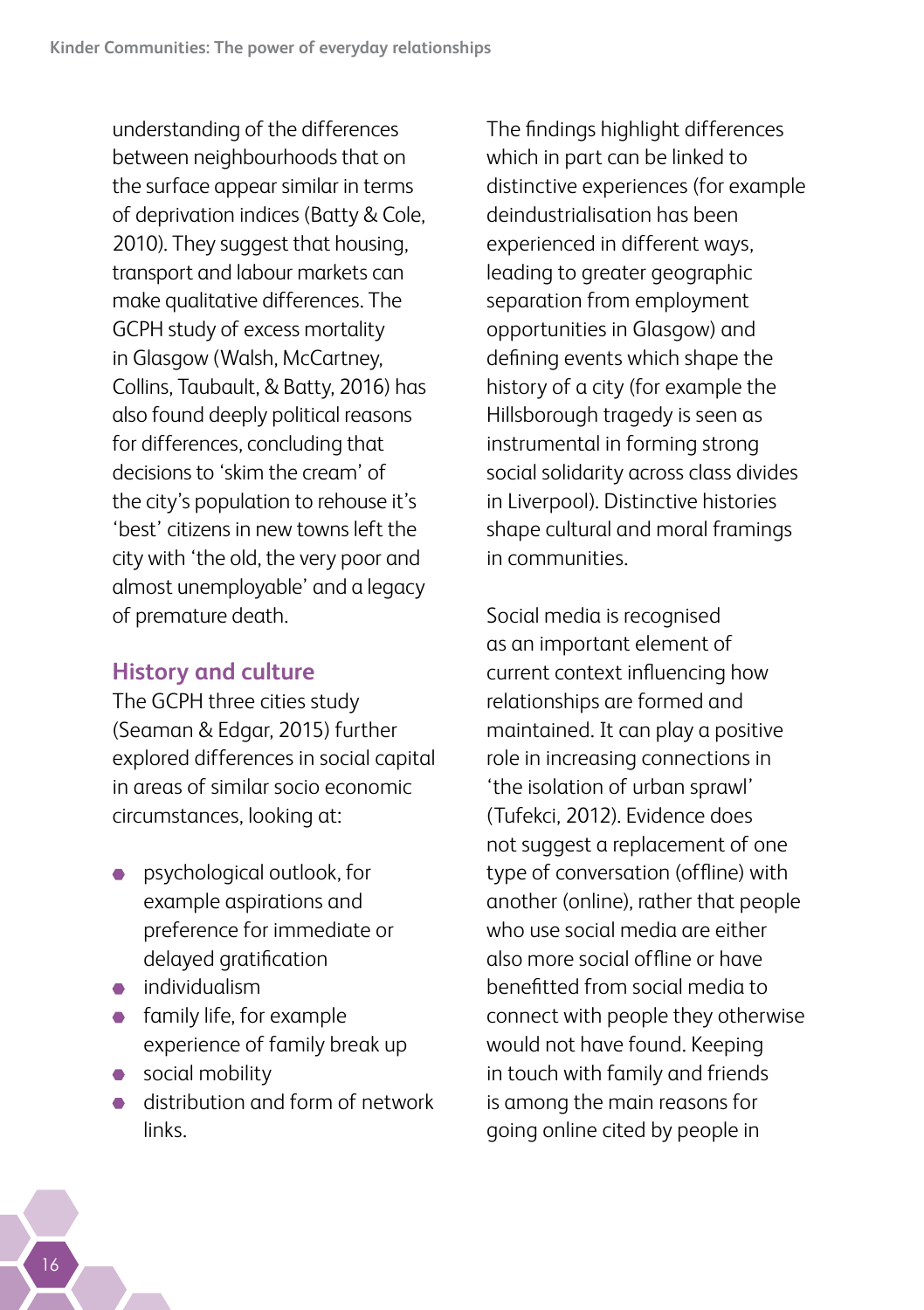understanding of the differences between neighbourhoods that on the surface appear similar in terms of deprivation indices (Batty & Cole, 2010). They suggest that housing, transport and labour markets can make qualitative differences. The GCPH study of excess mortality in Glasgow (Walsh, McCartney, Collins, Taubault, & Batty, 2016) has also found deeply political reasons for differences, concluding that decisions to 'skim the cream' of the city's population to rehouse it's 'best' citizens in new towns left the city with 'the old, the very poor and almost unemployable' and a legacy of premature death.

#### **History and culture**

The GCPH three cities study (Seaman & Edgar, 2015) further explored differences in social capital in areas of similar socio economic circumstances, looking at:

- **•** psychological outlook, for example aspirations and preference for immediate or delayed gratification
- **•** individualism
- **family life, for example** experience of family break up
- social mobility
- distribution and form of network links.

The findings highlight differences which in part can be linked to distinctive experiences (for example deindustrialisation has been experienced in different ways, leading to greater geographic separation from employment opportunities in Glasgow) and defining events which shape the history of a city (for example the Hillsborough tragedy is seen as instrumental in forming strong social solidarity across class divides in Liverpool). Distinctive histories shape cultural and moral framings in communities.

Social media is recognised as an important element of current context influencing how relationships are formed and maintained. It can play a positive role in increasing connections in 'the isolation of urban sprawl' (Tufekci, 2012). Evidence does not suggest a replacement of one type of conversation (offline) with another (online), rather that people who use social media are either also more social offline or have benefitted from social media to connect with people they otherwise would not have found. Keeping in touch with family and friends is among the main reasons for going online cited by people in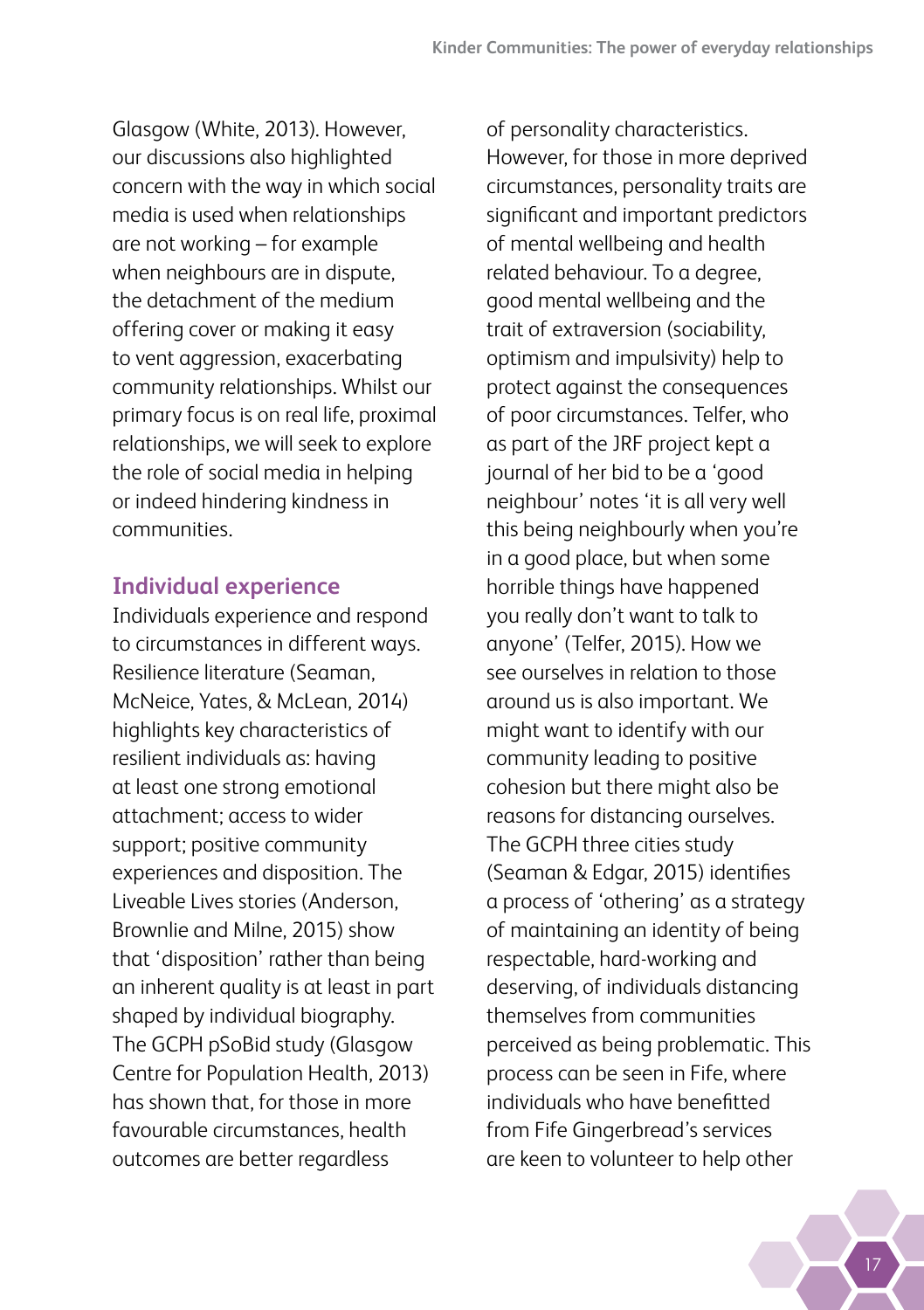Glasgow (White, 2013). However, our discussions also highlighted concern with the way in which social media is used when relationships are not working – for example when neighbours are in dispute. the detachment of the medium offering cover or making it easy to vent aggression, exacerbating community relationships. Whilst our primary focus is on real life, proximal relationships, we will seek to explore the role of social media in helping or indeed hindering kindness in communities.

#### **Individual experience**

Individuals experience and respond to circumstances in different ways. Resilience literature (Seaman, McNeice, Yates, & McLean, 2014) highlights key characteristics of resilient individuals as: having at least one strong emotional attachment; access to wider support; positive community experiences and disposition. The Liveable Lives stories (Anderson, Brownlie and Milne, 2015) show that 'disposition' rather than being an inherent quality is at least in part shaped by individual biography. The GCPH pSoBid study (Glasgow Centre for Population Health, 2013) has shown that, for those in more favourable circumstances, health outcomes are better regardless

of personality characteristics. However, for those in more deprived circumstances, personality traits are significant and important predictors of mental wellbeing and health related behaviour. To a degree, good mental wellbeing and the trait of extraversion (sociability, optimism and impulsivity) help to protect against the consequences of poor circumstances. Telfer, who as part of the JRF project kept a journal of her bid to be a 'good neighbour' notes 'it is all very well this being neighbourly when you're in a good place, but when some horrible things have happened you really don't want to talk to anyone' (Telfer, 2015). How we see ourselves in relation to those around us is also important. We might want to identify with our community leading to positive cohesion but there might also be reasons for distancing ourselves. The GCPH three cities study (Seaman & Edgar, 2015) identifies a process of 'othering' as a strategy of maintaining an identity of being respectable, hard-working and deserving, of individuals distancing themselves from communities perceived as being problematic. This process can be seen in Fife, where individuals who have benefitted from Fife Gingerbread's services are keen to volunteer to help other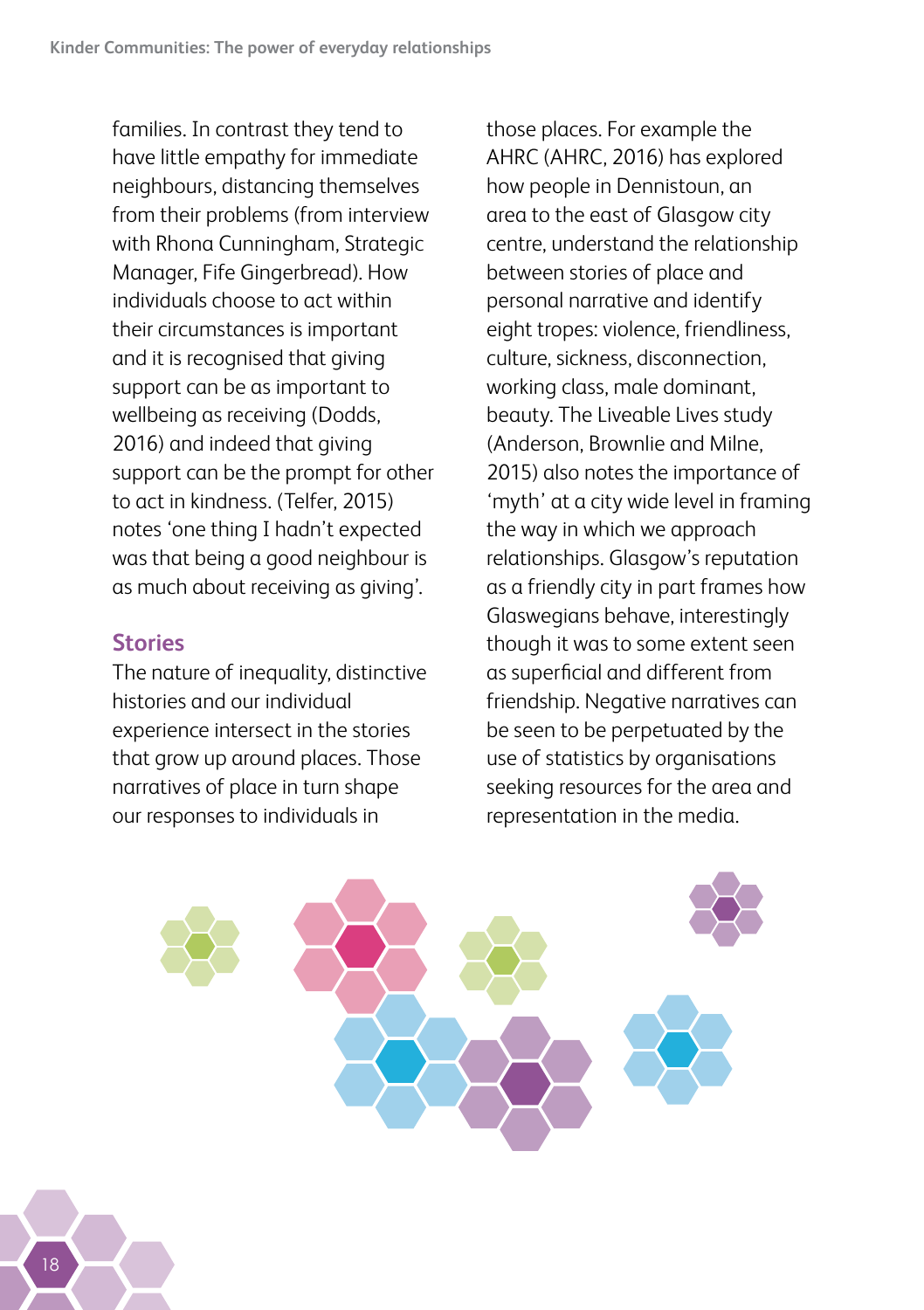families. In contrast they tend to have little empathy for immediate neighbours, distancing themselves from their problems (from interview with Rhona Cunningham, Strategic Manager, Fife Gingerbread). How individuals choose to act within their circumstances is important and it is recognised that giving support can be as important to wellbeing as receiving (Dodds, 2016) and indeed that giving support can be the prompt for other to act in kindness. (Telfer, 2015) notes 'one thing I hadn't expected was that being a good neighbour is as much about receiving as giving'.

#### **Stories**

The nature of inequality, distinctive histories and our individual experience intersect in the stories that grow up around places. Those narratives of place in turn shape our responses to individuals in

those places. For example the AHRC (AHRC, 2016) has explored how people in Dennistoun, an area to the east of Glasgow city centre, understand the relationship between stories of place and personal narrative and identify eight tropes: violence, friendliness, culture, sickness, disconnection, working class, male dominant, beauty. The Liveable Lives study (Anderson, Brownlie and Milne, 2015) also notes the importance of 'myth' at a city wide level in framing the way in which we approach relationships. Glasgow's reputation as a friendly city in part frames how Glaswegians behave, interestingly though it was to some extent seen as superficial and different from friendship. Negative narratives can be seen to be perpetuated by the use of statistics by organisations seeking resources for the area and representation in the media.

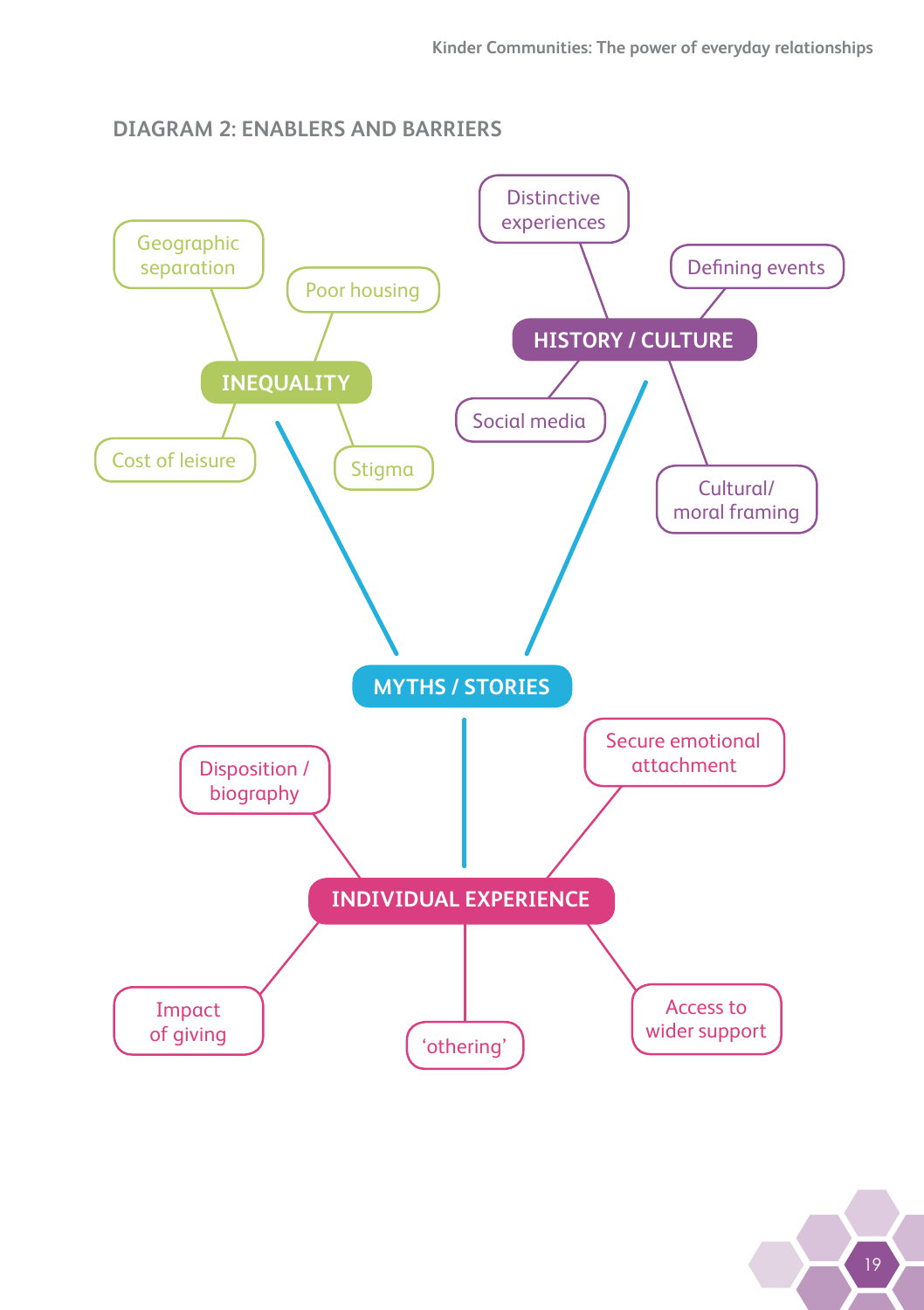#### **DIAGRAM 2: ENABLERS AND BARRIERS**

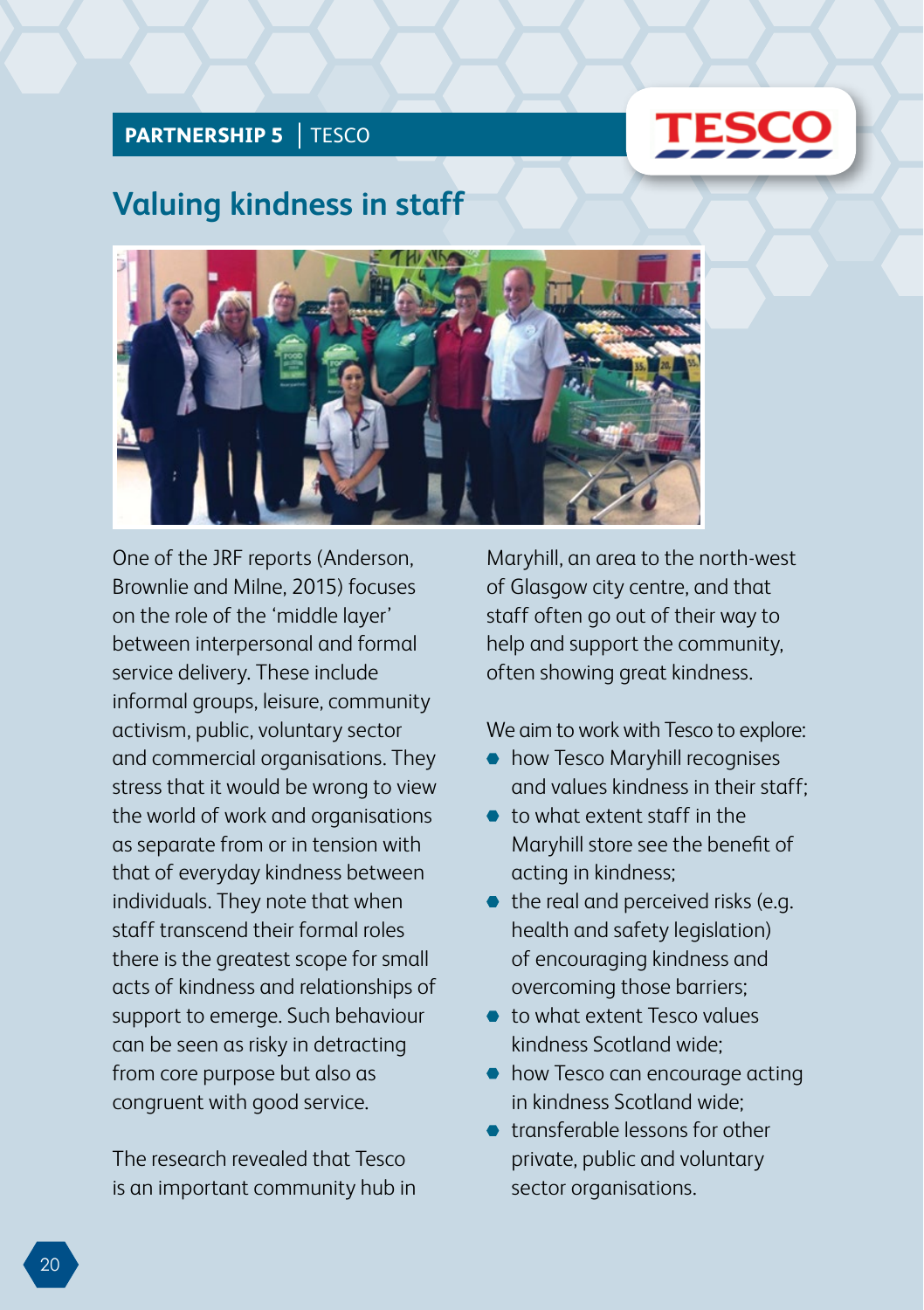#### **PARTNERSHIP 5 | TESCO**



### **Valuing kindness in staff**



One of the JRF reports (Anderson, Brownlie and Milne, 2015) focuses on the role of the 'middle layer' between interpersonal and formal service delivery. These include informal groups, leisure, community activism, public, voluntary sector and commercial organisations. They stress that it would be wrong to view the world of work and organisations as separate from or in tension with that of everyday kindness between individuals. They note that when staff transcend their formal roles there is the greatest scope for small acts of kindness and relationships of support to emerge. Such behaviour can be seen as risky in detracting from core purpose but also as congruent with good service.

The research revealed that Tesco is an important community hub in Maryhill, an area to the north-west of Glasgow city centre, and that staff often go out of their way to help and support the community, often showing great kindness.

We aim to work with Tesco to explore:

- $\bullet$  how Tesco Maryhill recognises and values kindness in their staff;
- to what extent staff in the Maryhill store see the benefit of acting in kindness;
- the real and perceived risks (e.g. health and safety legislation) of encouraging kindness and overcoming those barriers;
- to what extent Tesco values kindness Scotland wide;
- $\bullet$  how Tesco can encourage acting in kindness Scotland wide;
- transferable lessons for other private, public and voluntary sector organisations.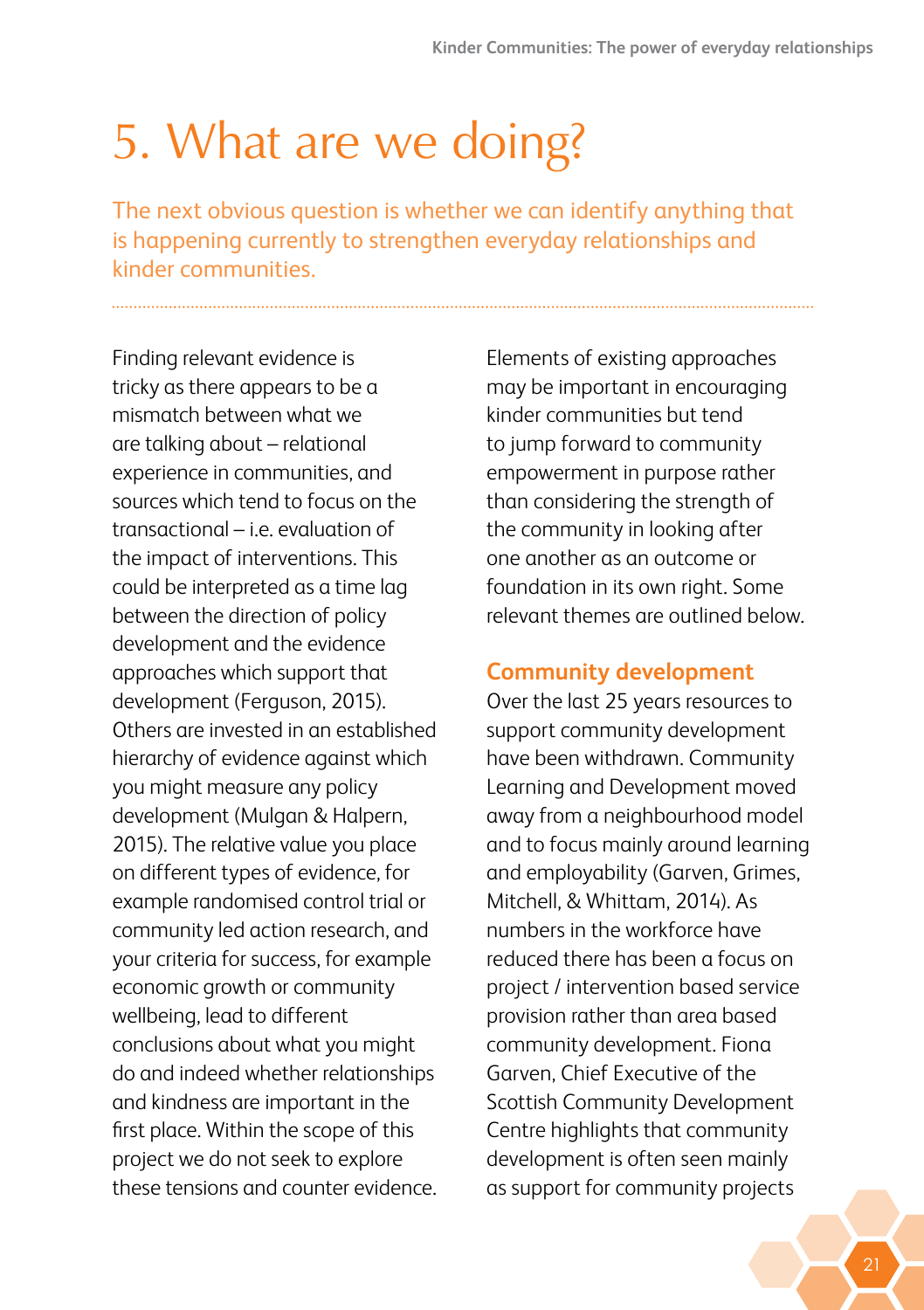## <span id="page-24-0"></span>5. What are we doing?

The next obvious question is whether we can identify anything that is happening currently to strengthen everyday relationships and kinder communities.

Finding relevant evidence is tricky as there appears to be a mismatch between what we are talking about – relational experience in communities, and sources which tend to focus on the transactional – i.e. evaluation of the impact of interventions. This could be interpreted as a time lag between the direction of policy development and the evidence approaches which support that development (Ferguson, 2015). Others are invested in an established hierarchy of evidence against which you might measure any policy development (Mulgan & Halpern, 2015). The relative value you place on different types of evidence, for example randomised control trial or community led action research, and your criteria for success, for example economic growth or community wellbeing, lead to different conclusions about what you might do and indeed whether relationships and kindness are important in the first place. Within the scope of this project we do not seek to explore these tensions and counter evidence. Elements of existing approaches may be important in encouraging kinder communities but tend to jump forward to community empowerment in purpose rather than considering the strength of the community in looking after one another as an outcome or foundation in its own right. Some relevant themes are outlined below.

#### **Community development**

Over the last 25 years resources to support community development have been withdrawn. Community Learning and Development moved away from a neighbourhood model and to focus mainly around learning and employability (Garven, Grimes, Mitchell, & Whittam, 2014). As numbers in the workforce have reduced there has been a focus on project / intervention based service provision rather than area based community development. Fiona Garven, Chief Executive of the Scottish Community Development Centre highlights that community development is often seen mainly as support for community projects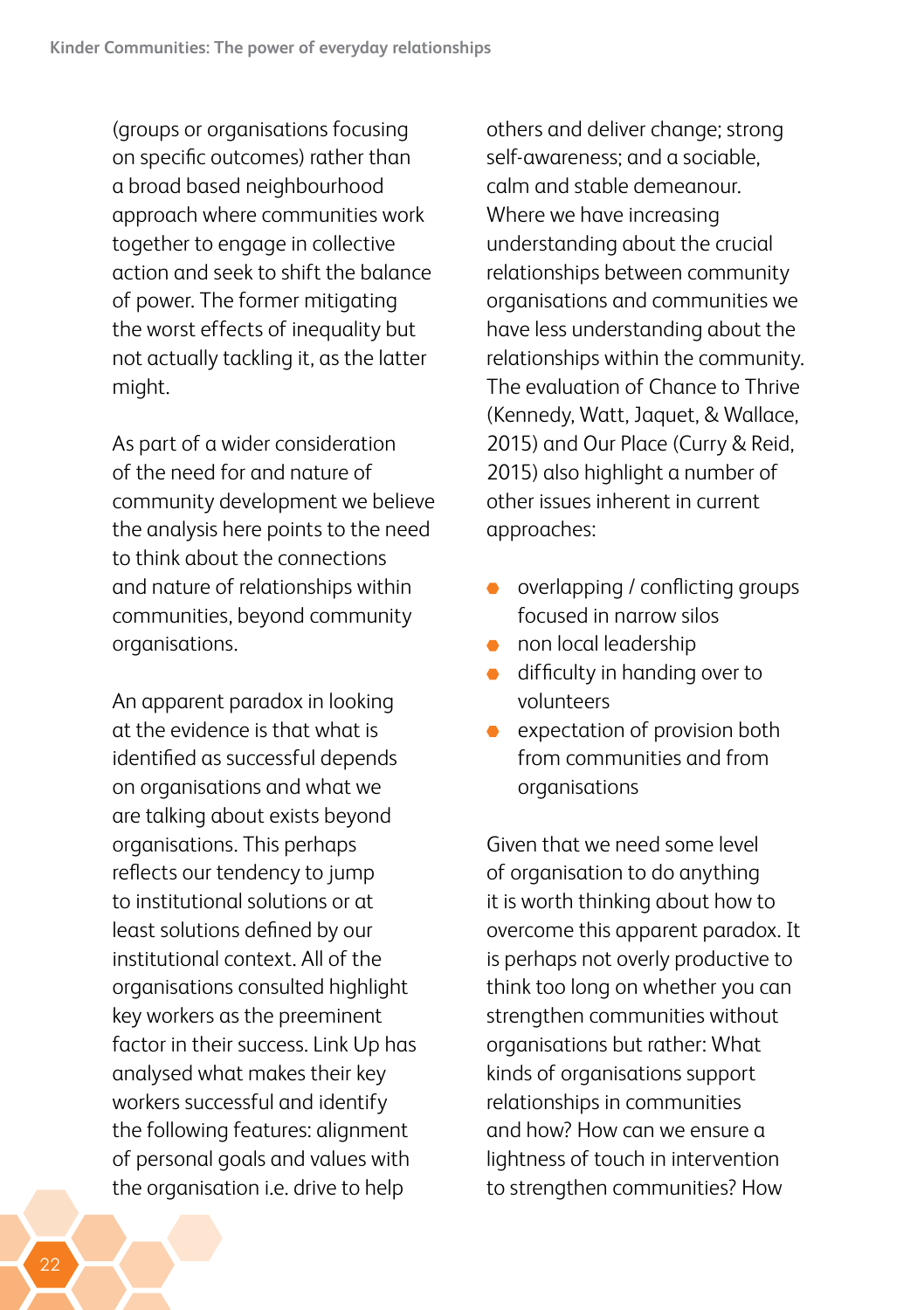(groups or organisations focusing on specific outcomes) rather than a broad based neighbourhood approach where communities work together to engage in collective action and seek to shift the balance of power. The former mitigating the worst effects of inequality but not actually tackling it, as the latter might.

As part of a wider consideration of the need for and nature of community development we believe the analysis here points to the need to think about the connections and nature of relationships within communities, beyond community organisations.

An apparent paradox in looking at the evidence is that what is identified as successful depends on organisations and what we are talking about exists beyond organisations. This perhaps reflects our tendency to jump to institutional solutions or at least solutions defined by our institutional context. All of the organisations consulted highlight key workers as the preeminent factor in their success. Link Up has analysed what makes their key workers successful and identify the following features: alignment of personal goals and values with the organisation i.e. drive to help

others and deliver change; strong self-awareness; and a sociable, calm and stable demeanour. Where we have increasing understanding about the crucial relationships between community organisations and communities we have less understanding about the relationships within the community. The evaluation of Chance to Thrive (Kennedy, Watt, Jaquet, & Wallace, 2015) and Our Place (Curry & Reid, 2015) also highlight a number of other issues inherent in current approaches:

- overlapping / conflicting groups focused in narrow silos
- **non local leadership**
- difficulty in handing over to  $\bullet$ volunteers
- expectation of provision both from communities and from organisations

Given that we need some level of organisation to do anything it is worth thinking about how to overcome this apparent paradox. It is perhaps not overly productive to think too long on whether you can strengthen communities without organisations but rather: What kinds of organisations support relationships in communities and how? How can we ensure a lightness of touch in intervention to strengthen communities? How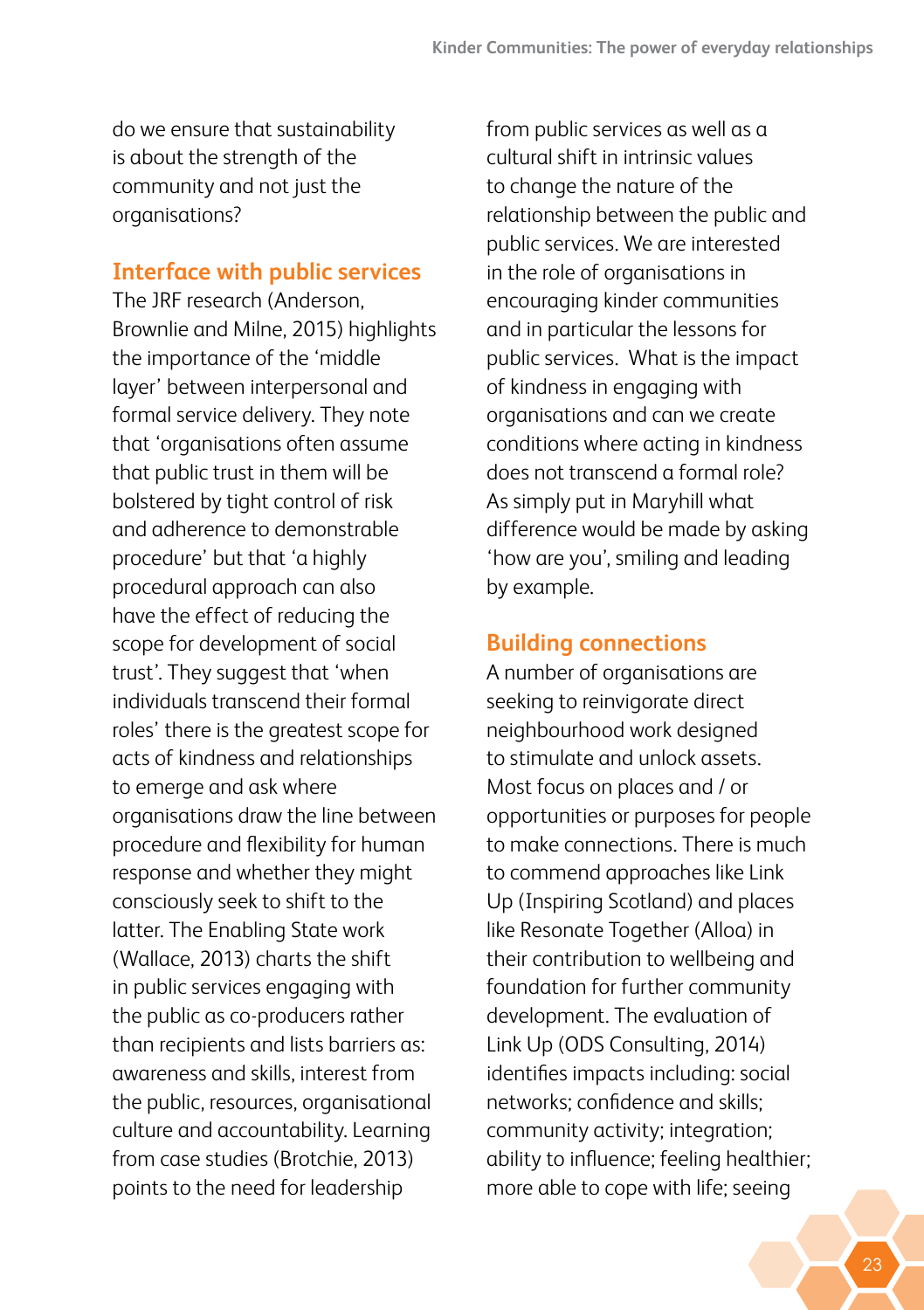do we ensure that sustainability is about the strength of the community and not just the organisations?

#### **Interface with public services**

The JRF research (Anderson, Brownlie and Milne, 2015) highlights the importance of the 'middle layer' between interpersonal and formal service delivery. They note that 'organisations often assume that public trust in them will be bolstered by tight control of risk and adherence to demonstrable procedure' but that 'a highly procedural approach can also have the effect of reducing the scope for development of social trust'. They suggest that 'when individuals transcend their formal roles' there is the greatest scope for acts of kindness and relationships to emerge and ask where organisations draw the line between procedure and flexibility for human response and whether they might consciously seek to shift to the latter. The Enabling State work (Wallace, 2013) charts the shift in public services engaging with the public as co-producers rather than recipients and lists barriers as: awareness and skills, interest from the public, resources, organisational culture and accountability. Learning from case studies (Brotchie, 2013) points to the need for leadership

from public services as well as a cultural shift in intrinsic values to change the nature of the relationship between the public and public services. We are interested in the role of organisations in encouraging kinder communities and in particular the lessons for public services. What is the impact of kindness in engaging with organisations and can we create conditions where acting in kindness does not transcend a formal role? As simply put in Maryhill what difference would be made by asking 'how are you', smiling and leading by example.

#### **Building connections**

A number of organisations are seeking to reinvigorate direct neighbourhood work designed to stimulate and unlock assets. Most focus on places and / or opportunities or purposes for people to make connections. There is much to commend approaches like Link Up (Inspiring Scotland) and places like Resonate Together (Alloa) in their contribution to wellbeing and foundation for further community development. The evaluation of Link Up (ODS Consulting, 2014) identifies impacts including: social networks; confidence and skills; community activity; integration; ability to influence; feeling healthier; more able to cope with life; seeing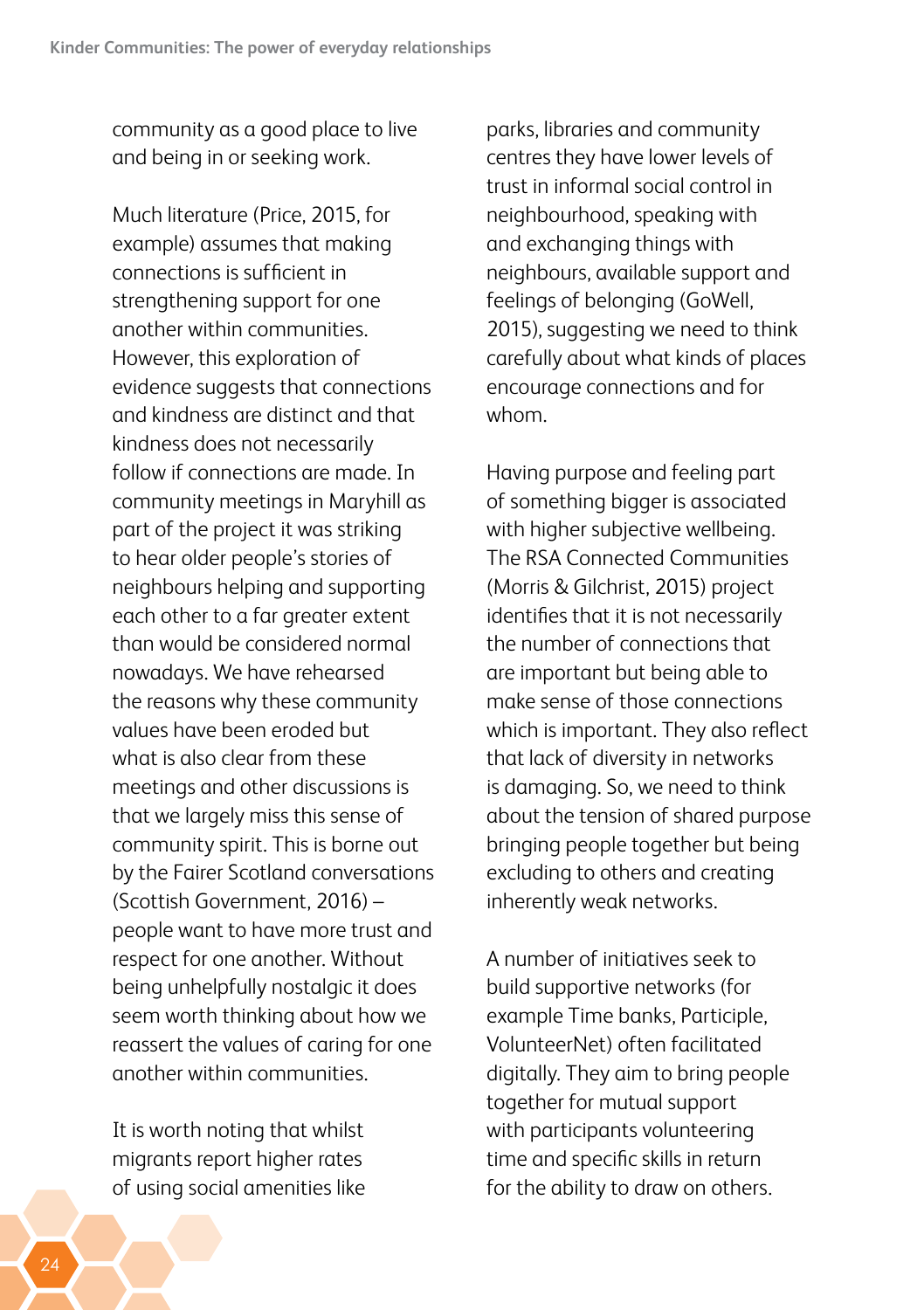community as a good place to live and being in or seeking work.

Much literature (Price, 2015, for example) assumes that making connections is sufficient in strengthening support for one another within communities. However, this exploration of evidence suggests that connections and kindness are distinct and that kindness does not necessarily follow if connections are made. In community meetings in Maryhill as part of the project it was striking to hear older people's stories of neighbours helping and supporting each other to a far greater extent than would be considered normal nowadays. We have rehearsed the reasons why these community values have been eroded but what is also clear from these meetings and other discussions is that we largely miss this sense of community spirit. This is borne out by the Fairer Scotland conversations (Scottish Government, 2016) – people want to have more trust and respect for one another. Without being unhelpfully nostalgic it does seem worth thinking about how we reassert the values of caring for one another within communities.

It is worth noting that whilst migrants report higher rates of using social amenities like parks, libraries and community centres they have lower levels of trust in informal social control in neighbourhood, speaking with and exchanging things with neighbours, available support and feelings of belonging (GoWell, 2015), suggesting we need to think carefully about what kinds of places encourage connections and for whom.

Having purpose and feeling part of something bigger is associated with higher subjective wellbeing. The RSA Connected Communities (Morris & Gilchrist, 2015) project identifies that it is not necessarily the number of connections that are important but being able to make sense of those connections which is important. They also reflect that lack of diversity in networks is damaging. So, we need to think about the tension of shared purpose bringing people together but being excluding to others and creating inherently weak networks.

A number of initiatives seek to build supportive networks (for example Time banks, Participle, VolunteerNet) often facilitated digitally. They aim to bring people together for mutual support with participants volunteering time and specific skills in return for the ability to draw on others.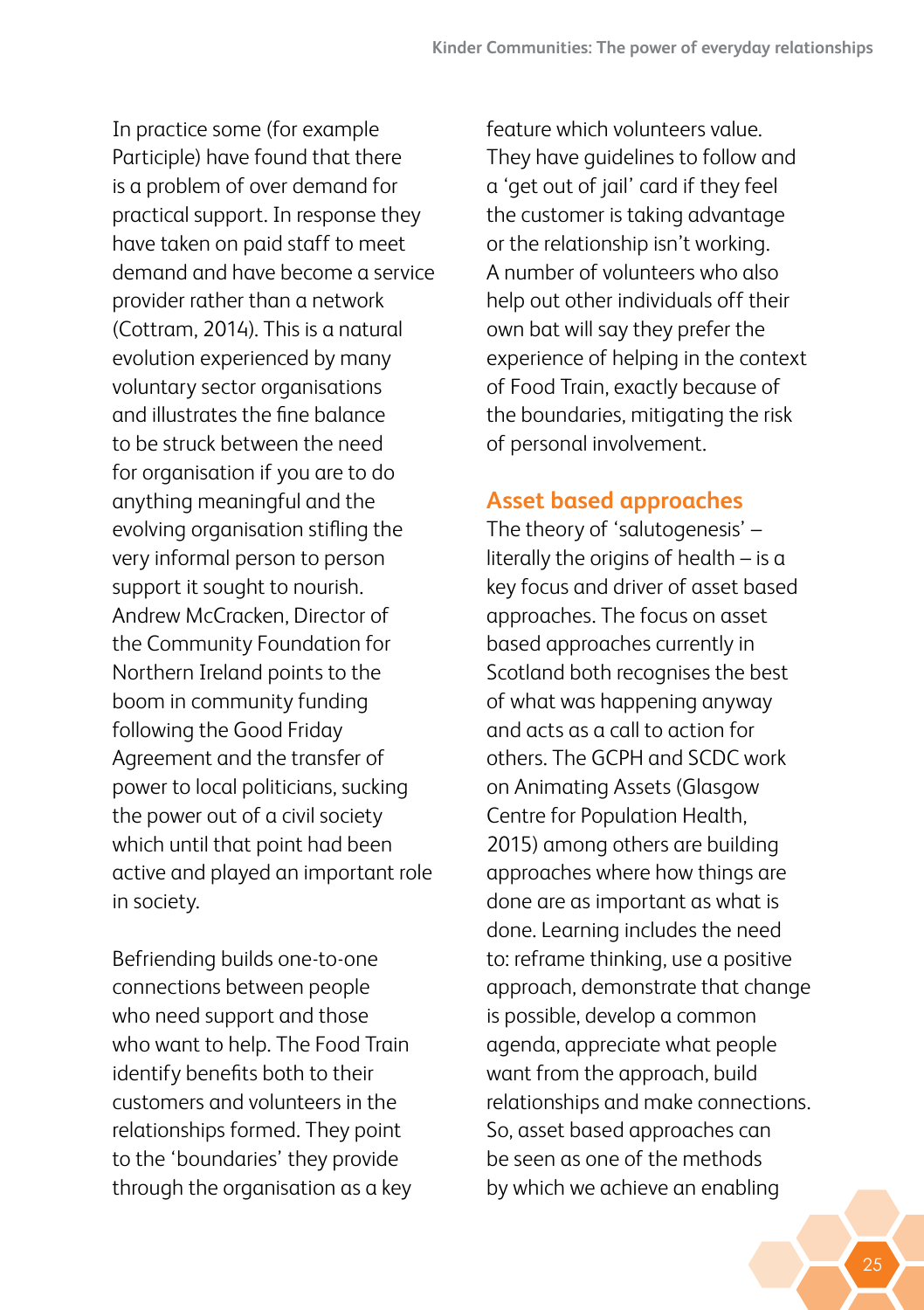In practice some (for example Participle) have found that there is a problem of over demand for practical support. In response they have taken on paid staff to meet demand and have become a service provider rather than a network (Cottram, 2014). This is a natural evolution experienced by many voluntary sector organisations and illustrates the fine balance to be struck between the need for organisation if you are to do anything meaningful and the evolving organisation stifling the very informal person to person support it sought to nourish. Andrew McCracken, Director of the Community Foundation for Northern Ireland points to the boom in community funding following the Good Friday Agreement and the transfer of power to local politicians, sucking the power out of a civil society which until that point had been active and played an important role in society.

Befriending builds one-to-one connections between people who need support and those who want to help. The Food Train identify benefits both to their customers and volunteers in the relationships formed. They point to the 'boundaries' they provide through the organisation as a key

feature which volunteers value. They have guidelines to follow and a 'get out of jail' card if they feel the customer is taking advantage or the relationship isn't working. A number of volunteers who also help out other individuals off their own bat will say they prefer the experience of helping in the context of Food Train, exactly because of the boundaries, mitigating the risk of personal involvement.

#### **Asset based approaches**

The theory of 'salutogenesis' – literally the origins of health – is a key focus and driver of asset based approaches. The focus on asset based approaches currently in Scotland both recognises the best of what was happening anyway and acts as a call to action for others. The GCPH and SCDC work on Animating Assets (Glasgow Centre for Population Health, 2015) among others are building approaches where how things are done are as important as what is done. Learning includes the need to: reframe thinking, use a positive approach, demonstrate that change is possible, develop a common agenda, appreciate what people want from the approach, build relationships and make connections. So, asset based approaches can be seen as one of the methods by which we achieve an enabling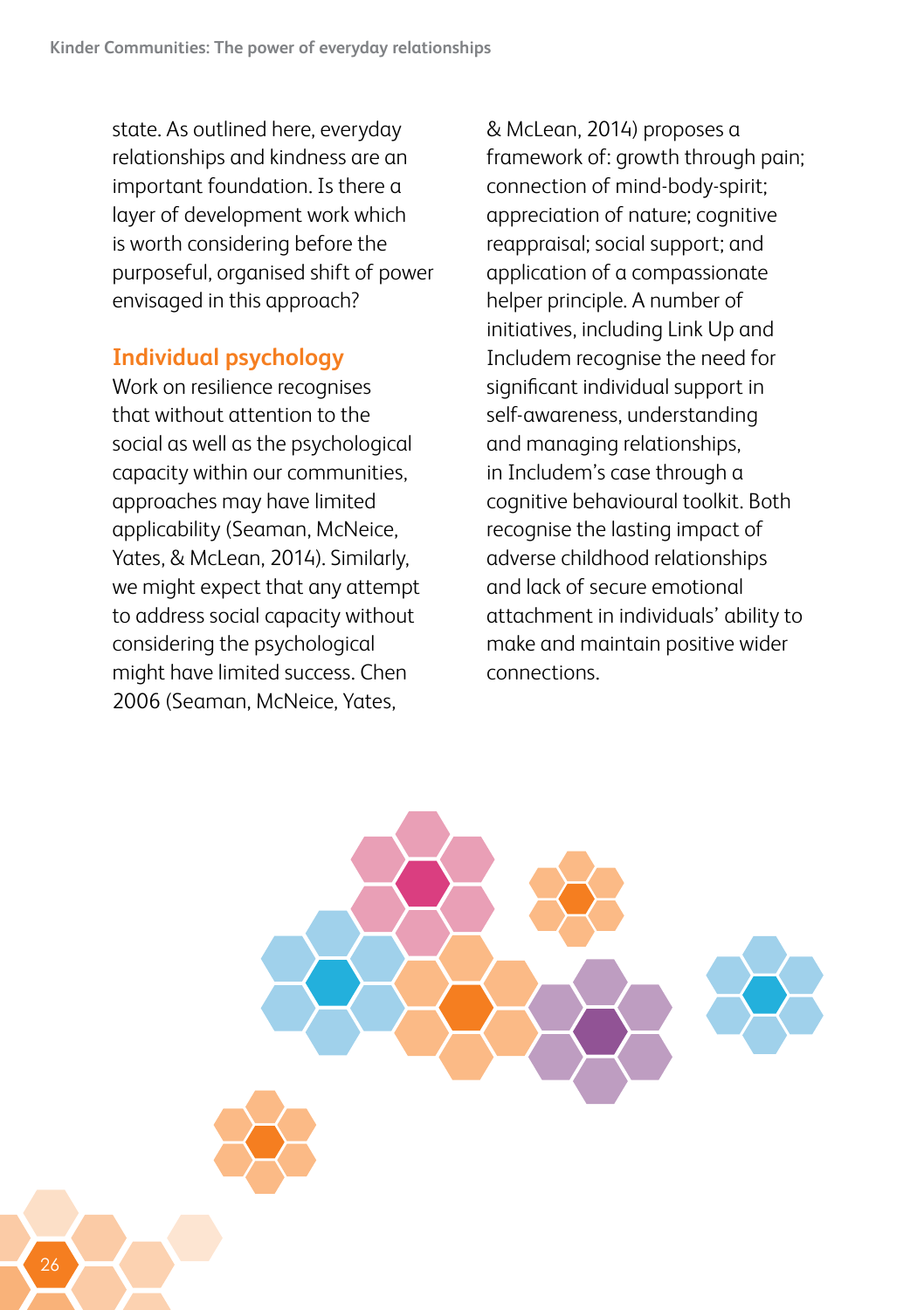state. As outlined here, everyday relationships and kindness are an important foundation. Is there a layer of development work which is worth considering before the purposeful, organised shift of power envisaged in this approach?

#### **Individual psychology**

Work on resilience recognises that without attention to the social as well as the psychological capacity within our communities, approaches may have limited applicability (Seaman, McNeice, Yates, & McLean, 2014). Similarly, we might expect that any attempt to address social capacity without considering the psychological might have limited success. Chen 2006 (Seaman, McNeice, Yates,

& McLean, 2014) proposes a framework of: growth through pain; connection of mind-body-spirit; appreciation of nature; cognitive reappraisal; social support; and application of a compassionate helper principle. A number of initiatives, including Link Up and Includem recognise the need for significant individual support in self-awareness, understanding and managing relationships, in Includem's case through a cognitive behavioural toolkit. Both recognise the lasting impact of adverse childhood relationships and lack of secure emotional attachment in individuals' ability to make and maintain positive wider connections.

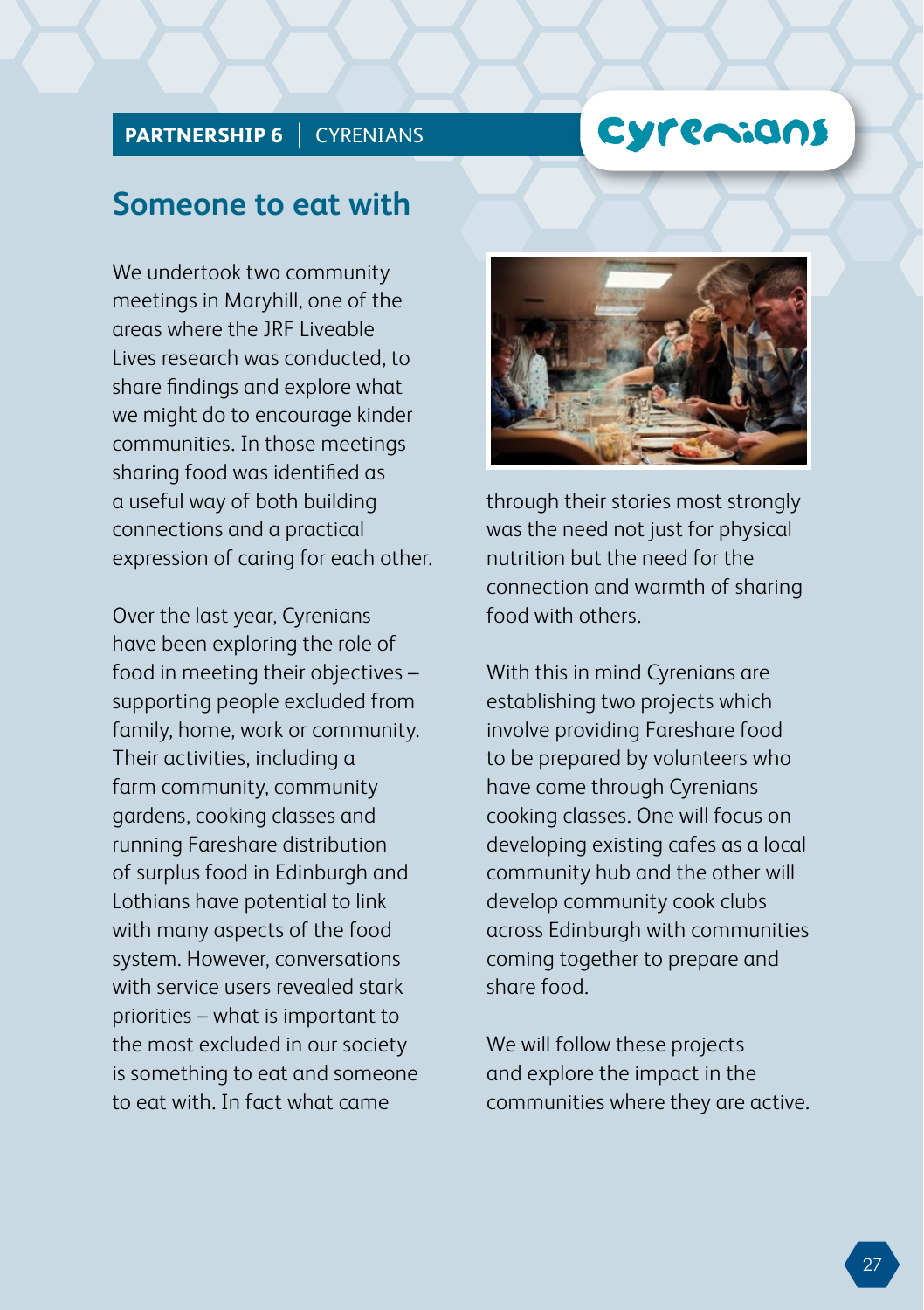### Cyremians

### **PARTNERSHIP 6 | CYRENIANS**

### **Someone to eat with**

We undertook two community meetings in Maryhill, one of the areas where the JRF Liveable Lives research was conducted, to share findings and explore what we might do to encourage kinder communities. In those meetings sharing food was identified as a useful way of both building connections and a practical expression of caring for each other.

Over the last year, Cyrenians have been exploring the role of food in meeting their objectives – supporting people excluded from family, home, work or community. Their activities, including a farm community, community gardens, cooking classes and running Fareshare distribution of surplus food in Edinburgh and Lothians have potential to link with many aspects of the food system. However, conversations with service users revealed stark priorities – what is important to the most excluded in our society is something to eat and someone to eat with. In fact what came



through their stories most strongly was the need not just for physical nutrition but the need for the connection and warmth of sharing food with others.

With this in mind Cyrenians are establishing two projects which involve providing Fareshare food to be prepared by volunteers who have come through Cyrenians cooking classes. One will focus on developing existing cafes as a local community hub and the other will develop community cook clubs across Edinburgh with communities coming together to prepare and share food.

We will follow these projects and explore the impact in the communities where they are active.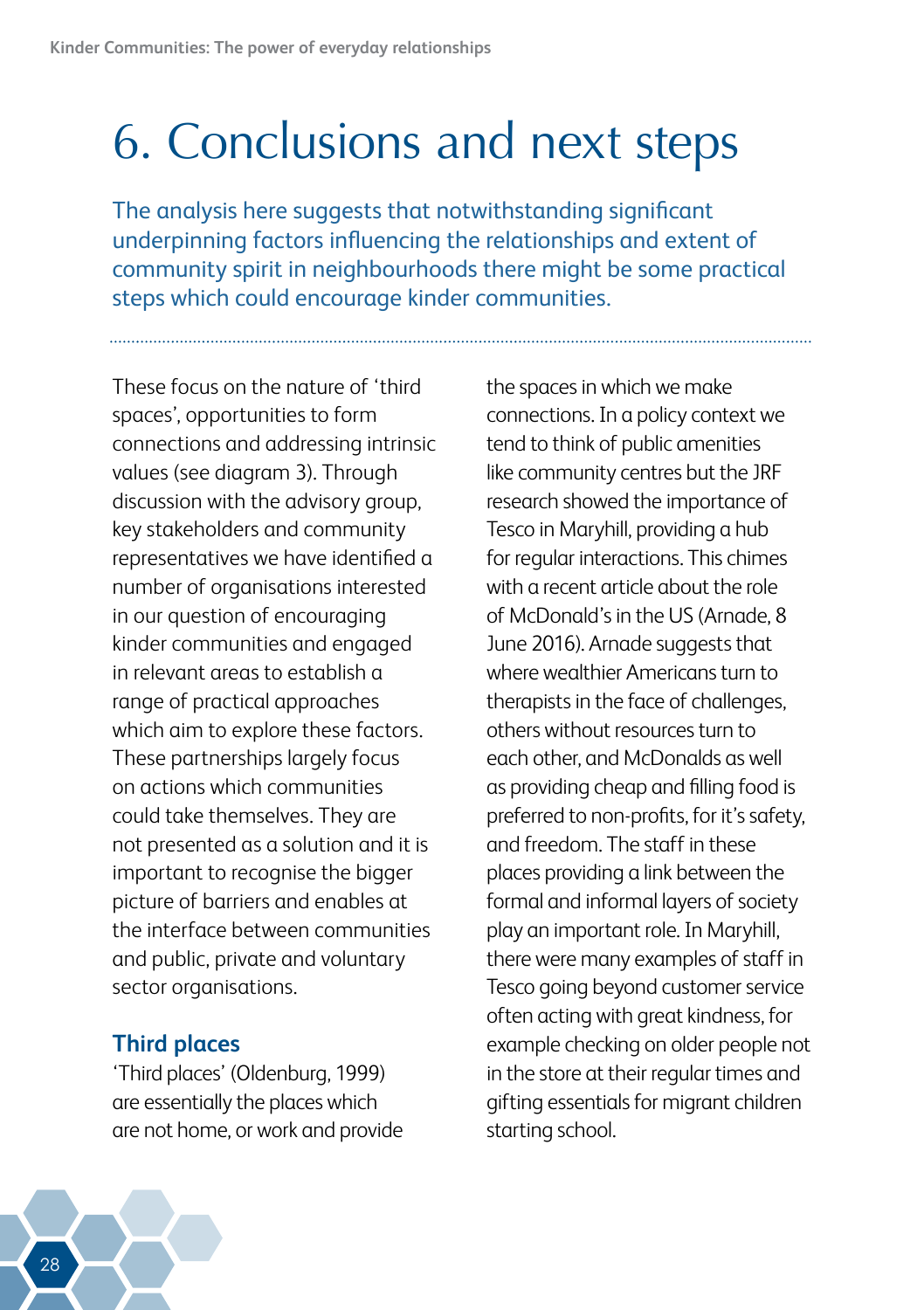## <span id="page-31-0"></span>6. Conclusions and next steps

The analysis here suggests that notwithstanding significant underpinning factors influencing the relationships and extent of community spirit in neighbourhoods there might be some practical steps which could encourage kinder communities.

These focus on the nature of 'third spaces', opportunities to form connections and addressing intrinsic values (see diagram 3). Through discussion with the advisory group, key stakeholders and community representatives we have identified a number of organisations interested in our question of encouraging kinder communities and engaged in relevant areas to establish a range of practical approaches which aim to explore these factors. These partnerships largely focus on actions which communities could take themselves. They are not presented as a solution and it is important to recognise the bigger picture of barriers and enables at the interface between communities and public, private and voluntary sector organisations.

#### **Third places**

'Third places' (Oldenburg, 1999) are essentially the places which are not home, or work and provide

the spaces in which we make connections. In a policy context we tend to think of public amenities like community centres but the JRF research showed the importance of Tesco in Maryhill, providing a hub for regular interactions. This chimes with a recent article about the role of McDonald's in the US (Arnade, 8 June 2016). Arnade suggests that where wealthier Americans turn to therapists in the face of challenges, others without resources turn to each other, and McDonalds as well as providing cheap and filling food is preferred to non-profits, for it's safety, and freedom. The staff in these places providing a link between the formal and informal layers of society play an important role. In Maryhill, there were many examples of staff in Tesco going beyond customer service often acting with great kindness, for example checking on older people not in the store at their regular times and gifting essentials for migrant children starting school.

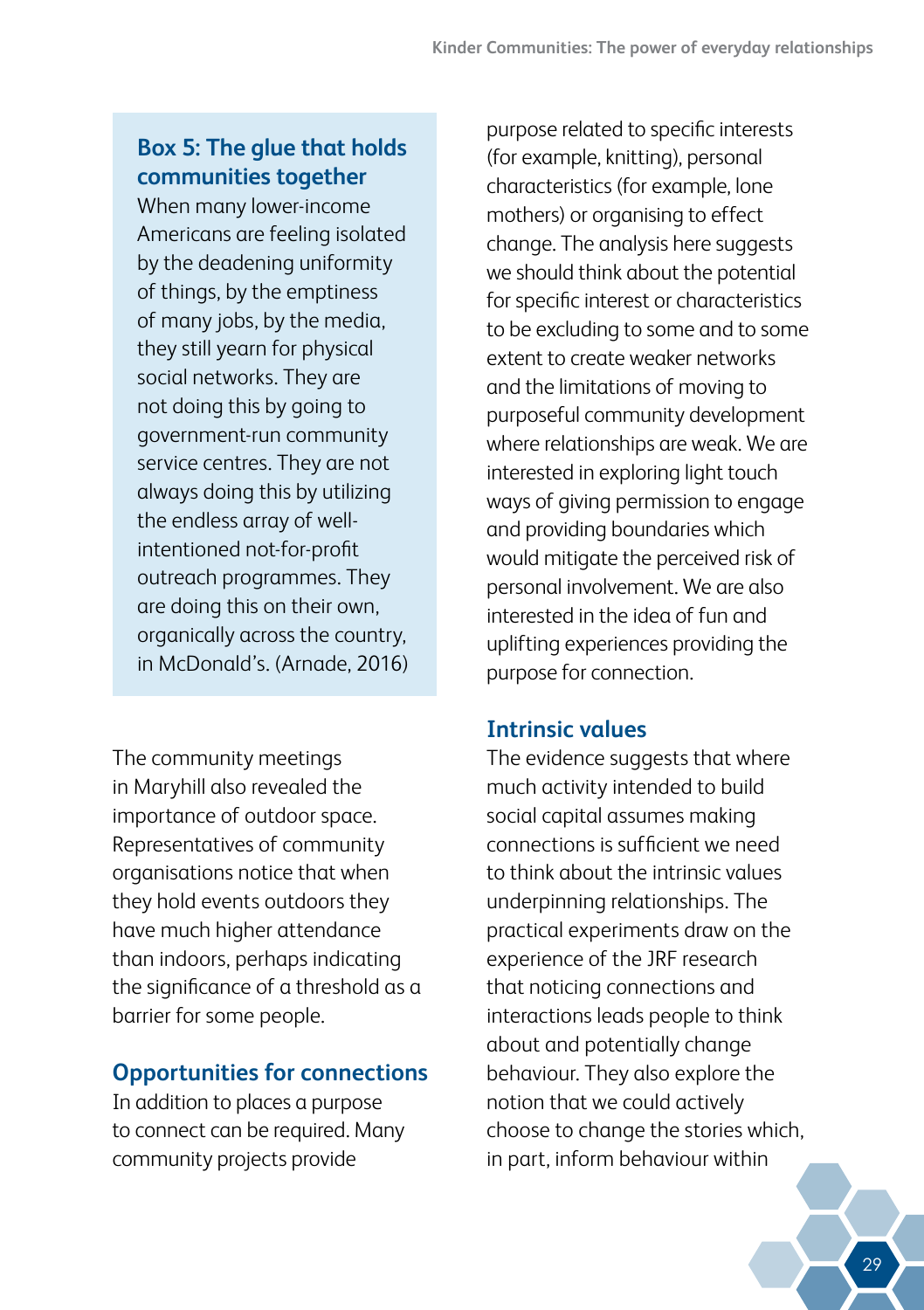### **Box 5: The glue that holds communities together**

When many lower-income Americans are feeling isolated by the deadening uniformity of things, by the emptiness of many jobs, by the media, they still yearn for physical social networks. They are not doing this by going to government-run community service centres. They are not always doing this by utilizing the endless array of wellintentioned not-for-profit outreach programmes. They are doing this on their own, organically across the country, in McDonald's. (Arnade, 2016)

The community meetings in Maryhill also revealed the importance of outdoor space. Representatives of community organisations notice that when they hold events outdoors they have much higher attendance than indoors, perhaps indicating the significance of a threshold as a barrier for some people.

#### **Opportunities for connections**

In addition to places a purpose to connect can be required. Many community projects provide

purpose related to specific interests (for example, knitting), personal characteristics (for example, lone mothers) or organising to effect change. The analysis here suggests we should think about the potential for specific interest or characteristics to be excluding to some and to some extent to create weaker networks and the limitations of moving to purposeful community development where relationships are weak. We are interested in exploring light touch ways of giving permission to engage and providing boundaries which would mitigate the perceived risk of personal involvement. We are also interested in the idea of fun and uplifting experiences providing the purpose for connection.

#### **Intrinsic values**

The evidence suggests that where much activity intended to build social capital assumes making connections is sufficient we need to think about the intrinsic values underpinning relationships. The practical experiments draw on the experience of the JRF research that noticing connections and interactions leads people to think about and potentially change behaviour. They also explore the notion that we could actively choose to change the stories which, in part, inform behaviour within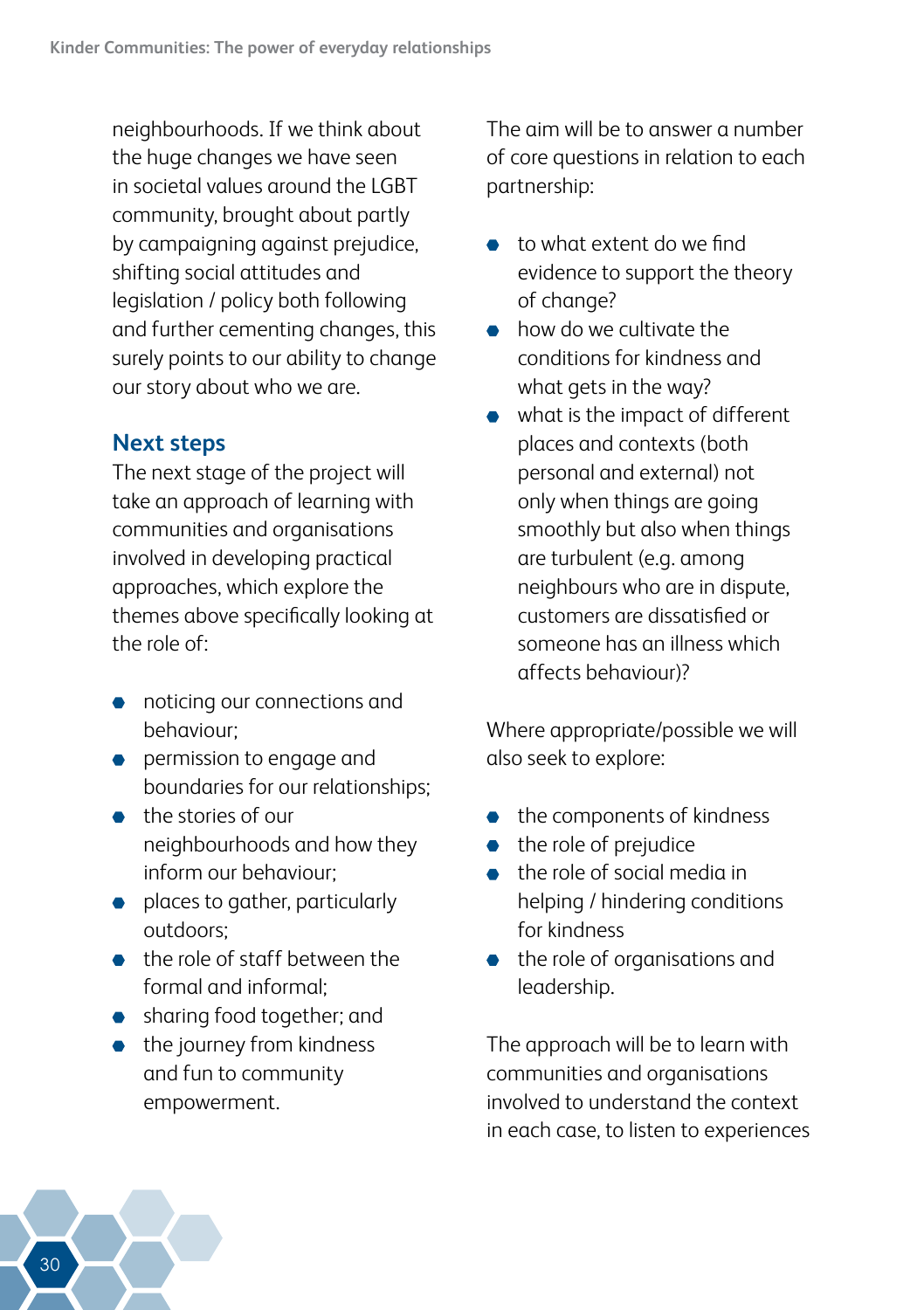neighbourhoods. If we think about the huge changes we have seen in societal values around the LGBT community, brought about partly by campaigning against prejudice, shifting social attitudes and legislation / policy both following and further cementing changes, this surely points to our ability to change our story about who we are.

#### **Next steps**

The next stage of the project will take an approach of learning with communities and organisations involved in developing practical approaches, which explore the themes above specifically looking at the role of:

- noticing our connections and behaviour;
- **•** permission to engage and boundaries for our relationships;
- the stories of our neighbourhoods and how they inform our behaviour;
- **•** places to gather, particularly outdoors;
- the role of staff between the formal and informal;
- **•** sharing food together; and
- $\bullet$  the journey from kindness and fun to community empowerment.

The aim will be to answer a number of core questions in relation to each partnership:

- to what extent do we find evidence to support the theory of change?
- how do we cultivate the conditions for kindness and what gets in the way?
- what is the impact of different places and contexts (both personal and external) not only when things are going smoothly but also when things are turbulent (e.g. among neighbours who are in dispute, customers are dissatisfied or someone has an illness which affects behaviour)?

Where appropriate/possible we will also seek to explore:

- the components of kindness
- the role of prejudice  $\bullet$
- the role of social media in helping / hindering conditions for kindness
- the role of organisations and leadership.

The approach will be to learn with communities and organisations involved to understand the context in each case, to listen to experiences

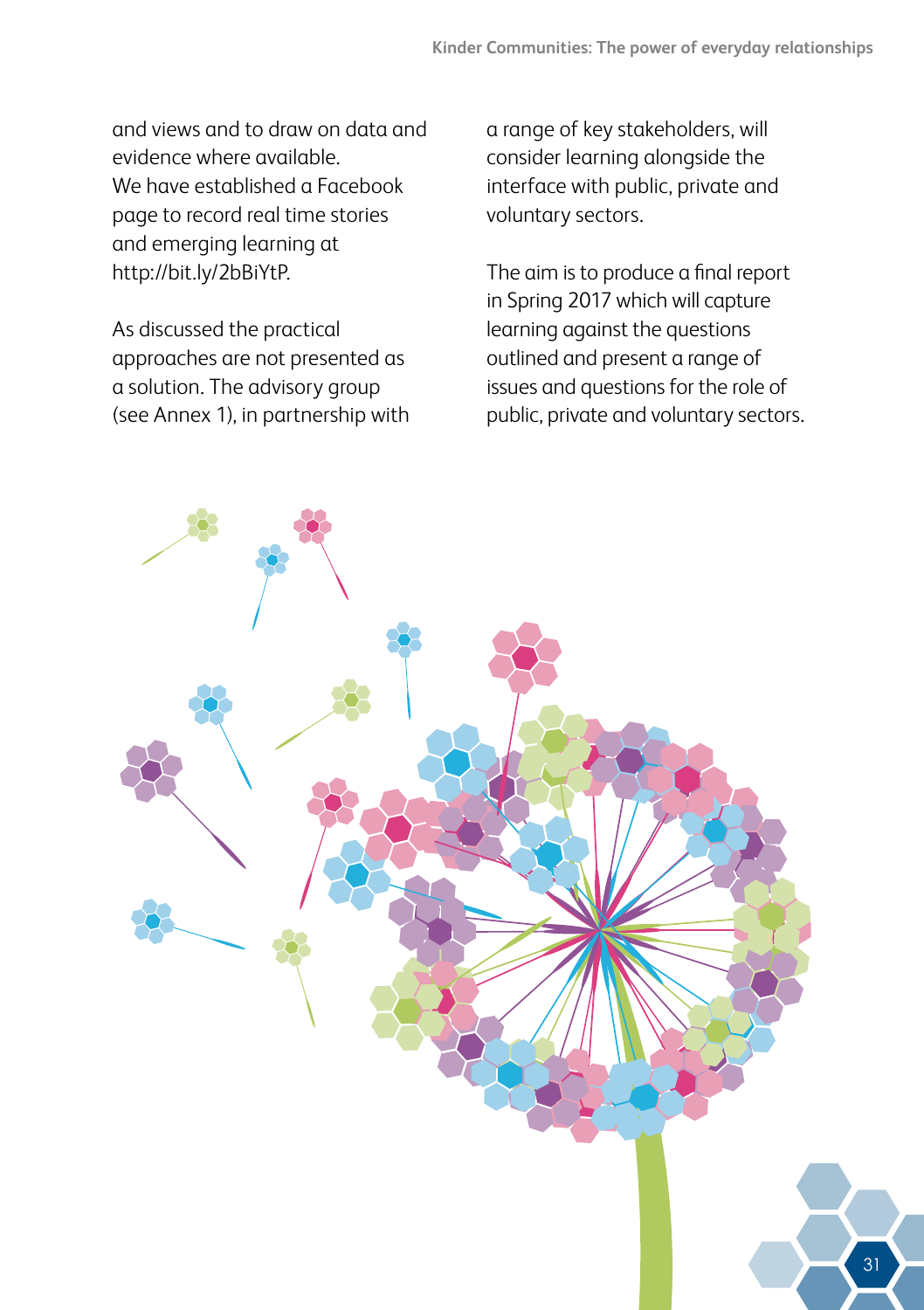and views and to draw on data and evidence where available. We have established a Facebook page to record real time stories and emerging learning at http://bit.ly/2bBiYtP.

As discussed the practical approaches are not presented as a solution. The advisory group (see Annex 1), in partnership with a range of key stakeholders, will consider learning alongside the interface with public, private and voluntary sectors.

The aim is to produce a final report in Spring 2017 which will capture learning against the questions outlined and present a range of issues and questions for the role of public, private and voluntary sectors.

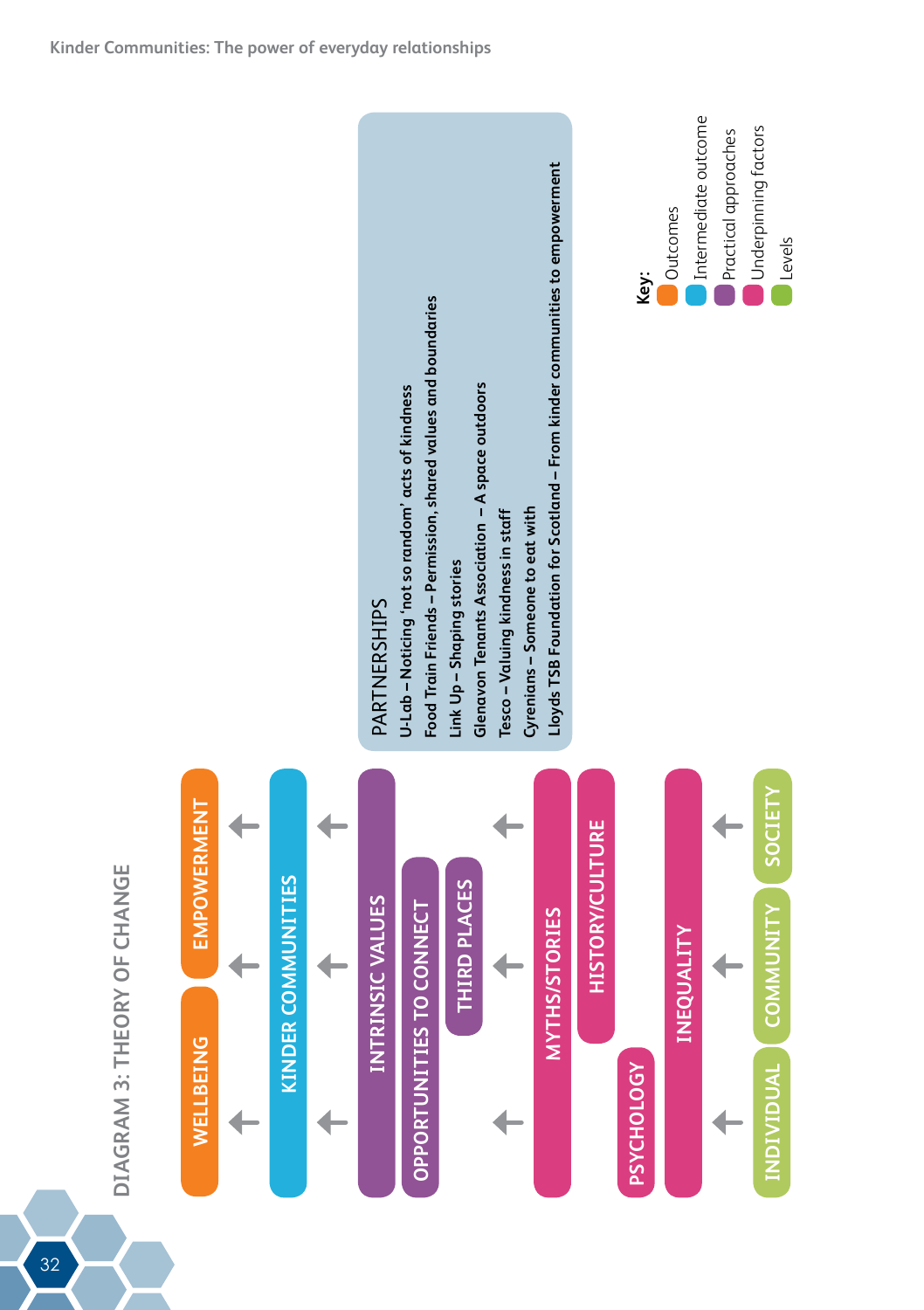





32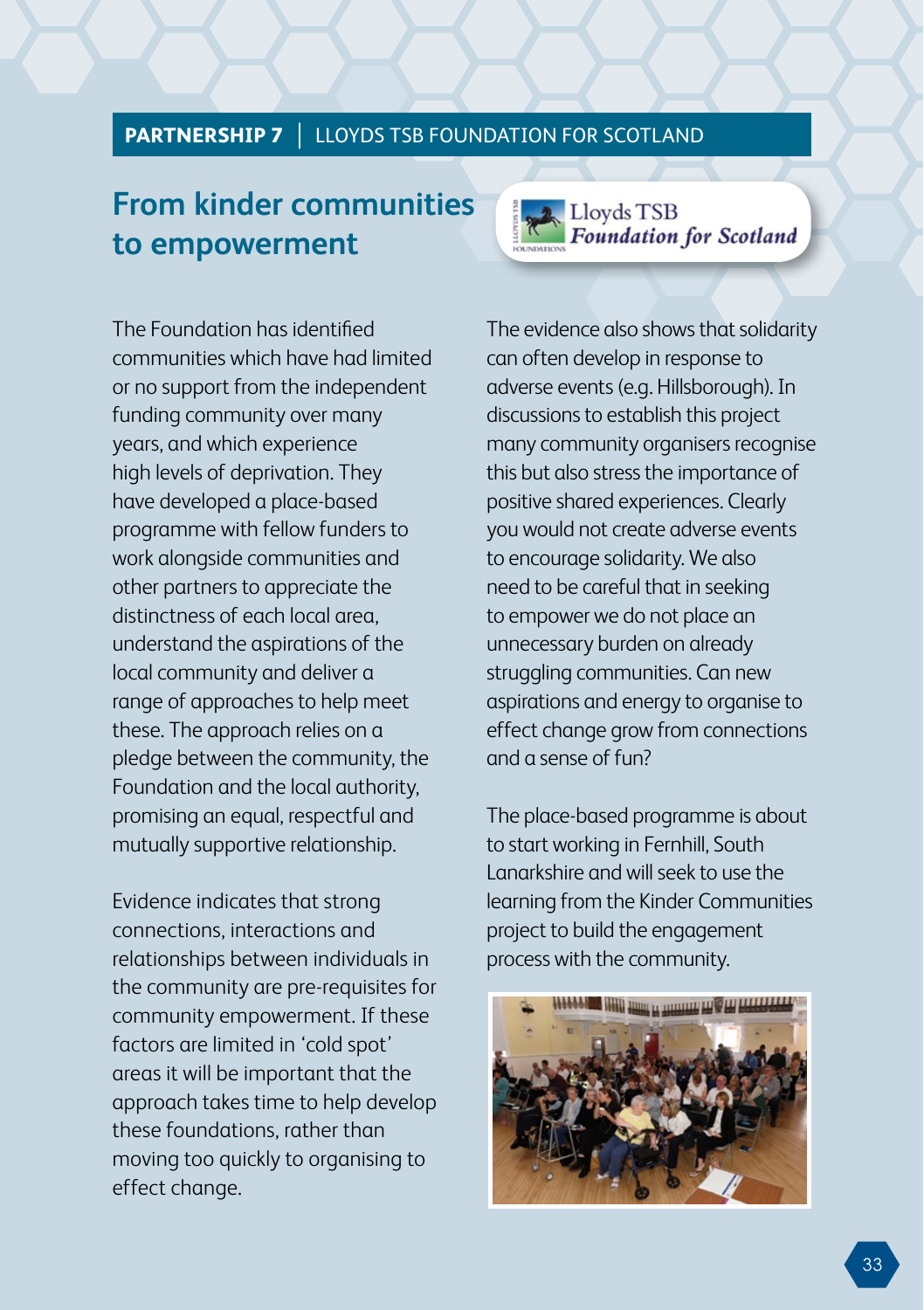#### **PARTNERSHIP 7** | LLOYDS TSB FOUNDATION FOR SCOTLAND

### **From kinder communities to empowerment**



The Foundation has identified communities which have had limited or no support from the independent funding community over many years, and which experience high levels of deprivation. They have developed a place-based programme with fellow funders to work alongside communities and other partners to appreciate the distinctness of each local area, understand the aspirations of the local community and deliver a range of approaches to help meet these. The approach relies on a pledge between the community, the Foundation and the local authority, promising an equal, respectful and mutually supportive relationship.

Evidence indicates that strong connections, interactions and relationships between individuals in the community are pre-requisites for community empowerment. If these factors are limited in 'cold spot' areas it will be important that the approach takes time to help develop these foundations, rather than moving too quickly to organising to effect change.

The evidence also shows that solidarity can often develop in response to adverse events (e.g. Hillsborough). In discussions to establish this project many community organisers recognise this but also stress the importance of positive shared experiences. Clearly you would not create adverse events to encourage solidarity. We also need to be careful that in seeking to empower we do not place an unnecessary burden on already struggling communities. Can new aspirations and energy to organise to effect change grow from connections and a sense of fun?

The place-based programme is about to start working in Fernhill, South Lanarkshire and will seek to use the learning from the Kinder Communities project to build the engagement process with the community.

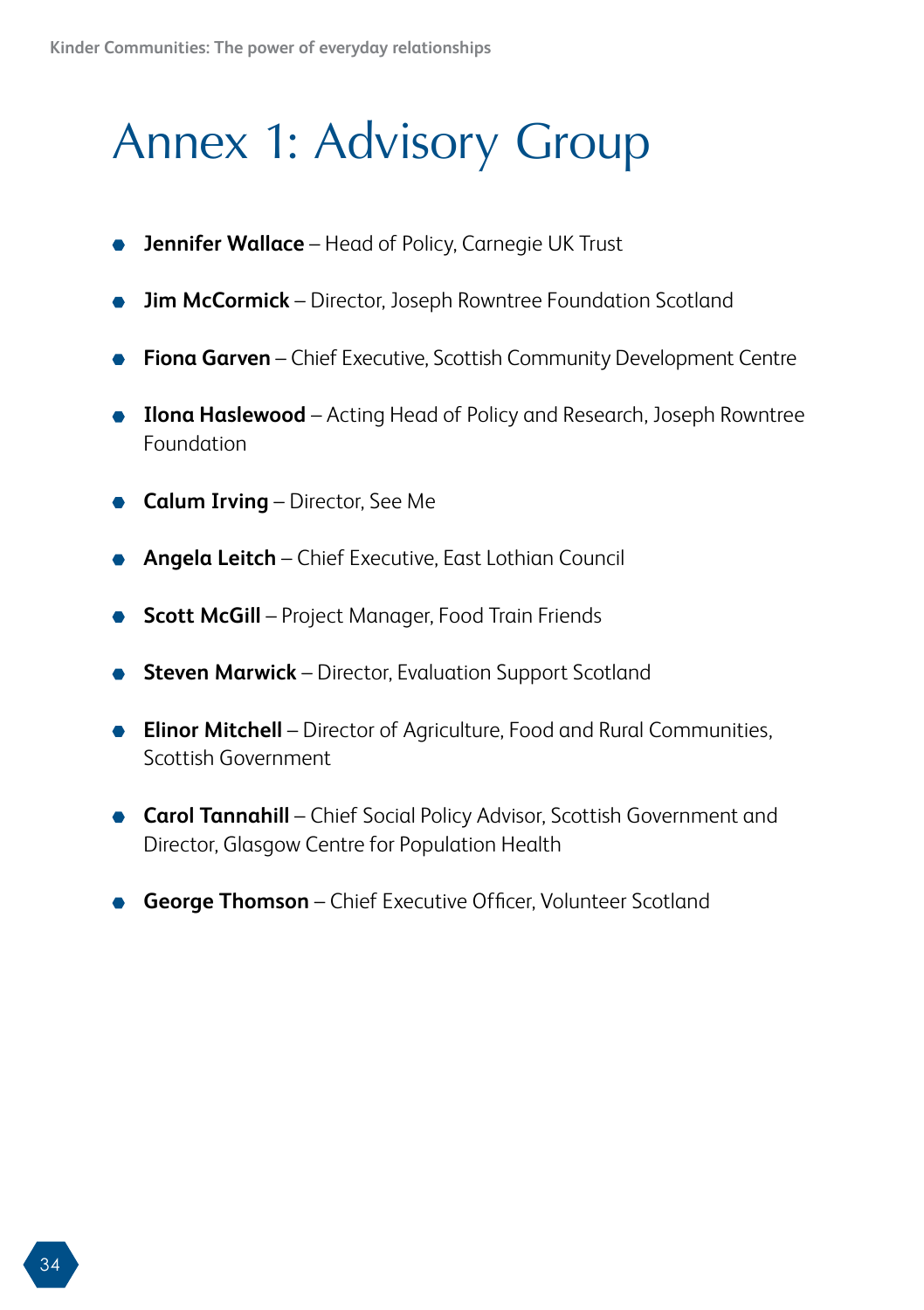## <span id="page-37-0"></span>Annex 1: Advisory Group

- **Jennifer Wallace** Head of Policy, Carnegie UK Trust
- **Jim McCormick** Director, Joseph Rowntree Foundation Scotland  $\bullet$
- **Fiona Garven** Chief Executive, Scottish Community Development Centre
- **Ilona Haslewood** Acting Head of Policy and Research, Joseph Rowntree  $\bullet$ Foundation
- **Calum Irving** Director, See Me
- **Angela Leitch** Chief Executive, East Lothian Council
- **Scott McGill** Project Manager, Food Train Friends
- **Steven Marwick** Director, Evaluation Support Scotland
- **Elinor Mitchell** Director of Agriculture, Food and Rural Communities,  $\bullet$ Scottish Government
- **Carol Tannahill** Chief Social Policy Advisor, Scottish Government and Director, Glasgow Centre for Population Health
- **George Thomson** Chief Executive Officer, Volunteer Scotland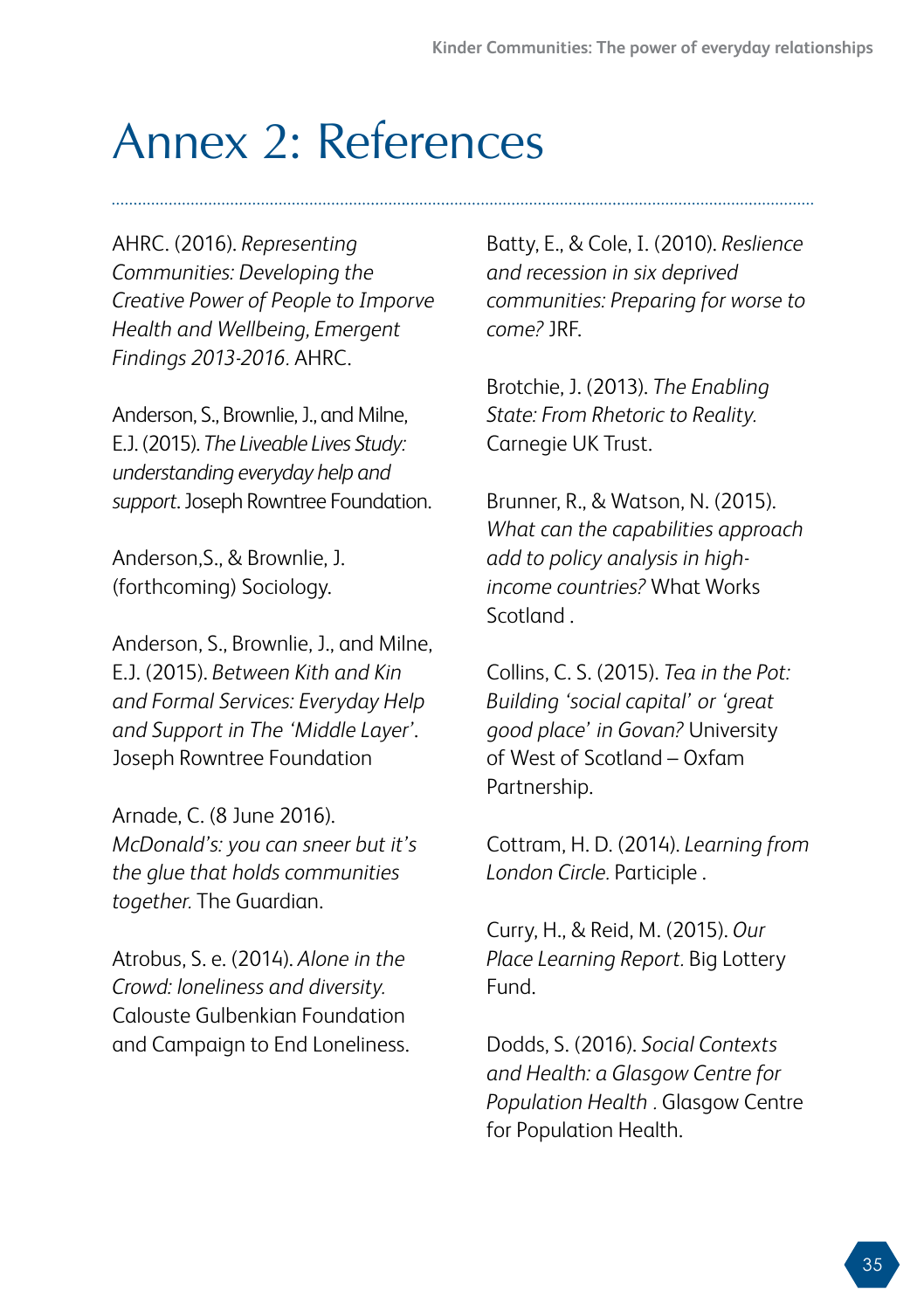## <span id="page-38-0"></span>Annex 2: References

AHRC. (2016). *Representing Communities: Developing the Creative Power of People to Imporve Health and Wellbeing, Emergent Findings 2013-2016.* AHRC.

Anderson, S., Brownlie, J., and Milne, E.J. (2015). *The Liveable Lives Study: understanding everyday help and support*. Joseph Rowntree Foundation.

Anderson,S., & Brownlie, J. (forthcoming) Sociology.

Anderson, S., Brownlie, J., and Milne, E.J. (2015). *Between Kith and Kin and Formal Services: Everyday Help and Support in The 'Middle Layer'*. Joseph Rowntree Foundation

Arnade, C. (8 June 2016). *McDonald's: you can sneer but it's the glue that holds communities together.* The Guardian.

Atrobus, S. e. (2014). *Alone in the Crowd: loneliness and diversity.* Calouste Gulbenkian Foundation and Campaign to End Loneliness. Batty, E., & Cole, I. (2010). *Reslience and recession in six deprived communities: Preparing for worse to come?* JRF.

Brotchie, J. (2013). *The Enabling State: From Rhetoric to Reality.* Carnegie UK Trust.

Brunner, R., & Watson, N. (2015). *What can the capabilities approach add to policy analysis in highincome countries?* What Works Scotland .

Collins, C. S. (2015). *Tea in the Pot: Building 'social capital' or 'great good place' in Govan?* University of West of Scotland – Oxfam Partnership.

Cottram, H. D. (2014). *Learning from London Circle.* Participle .

Curry, H., & Reid, M. (2015). *Our Place Learning Report.* Big Lottery Fund.

Dodds, S. (2016). *Social Contexts and Health: a Glasgow Centre for Population Health .* Glasgow Centre for Population Health.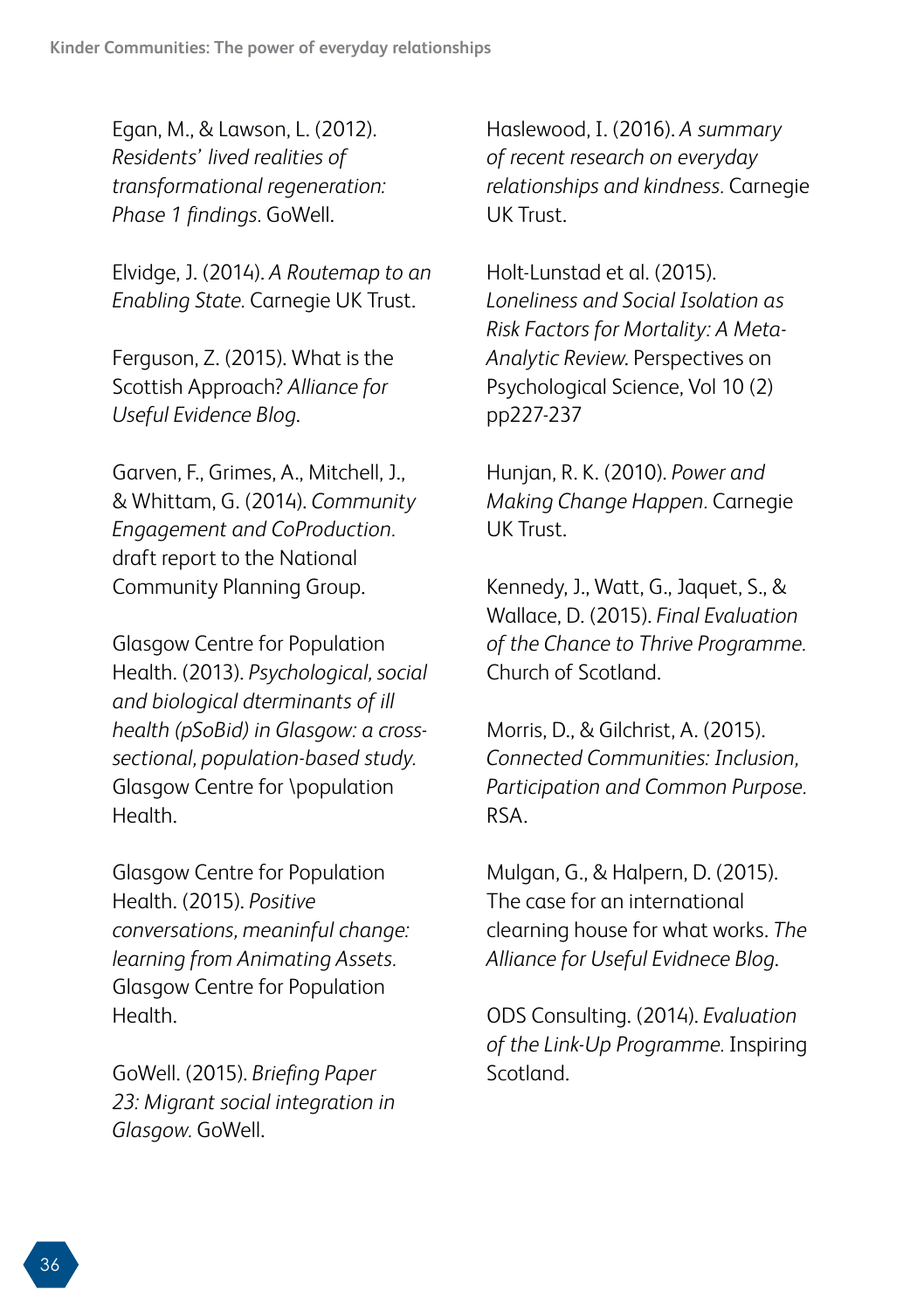Egan, M., & Lawson, L. (2012). *Residents' lived realities of transformational regeneration: Phase 1 findings.* GoWell.

Elvidge, J. (2014). *A Routemap to an Enabling State.* Carnegie UK Trust.

Ferguson, Z. (2015). What is the Scottish Approach? *Alliance for Useful Evidence Blog*.

Garven, F., Grimes, A., Mitchell, J., & Whittam, G. (2014). *Community Engagement and CoProduction.* draft report to the National Community Planning Group.

Glasgow Centre for Population Health. (2013). *Psychological, social and biological dterminants of ill health (pSoBid) in Glasgow: a crosssectional, population-based study.* Glasgow Centre for \population Health.

Glasgow Centre for Population Health. (2015). *Positive conversations, meaninful change: learning from Animating Assets.* Glasgow Centre for Population Health.

GoWell. (2015). *Briefing Paper 23: Migrant social integration in Glasgow.* GoWell.

Haslewood, I. (2016). *A summary of recent research on everyday relationships and kindness.* Carnegie UK Trust.

Holt-Lunstad et al. (2015). *Loneliness and Social Isolation as Risk Factors for Mortality: A Meta-Analytic Review*. Perspectives on Psychological Science, Vol 10 (2) pp227-237

Hunjan, R. K. (2010). *Power and Making Change Happen.* Carnegie UK Trust.

Kennedy, J., Watt, G., Jaquet, S., & Wallace, D. (2015). *Final Evaluation of the Chance to Thrive Programme.* Church of Scotland.

Morris, D., & Gilchrist, A. (2015). *Connected Communities: Inclusion, Participation and Common Purpose.* RSA.

Mulgan, G., & Halpern, D. (2015). The case for an international clearning house for what works. *The Alliance for Useful Evidnece Blog*.

ODS Consulting. (2014). *Evaluation of the Link-Up Programme.* Inspiring Scotland.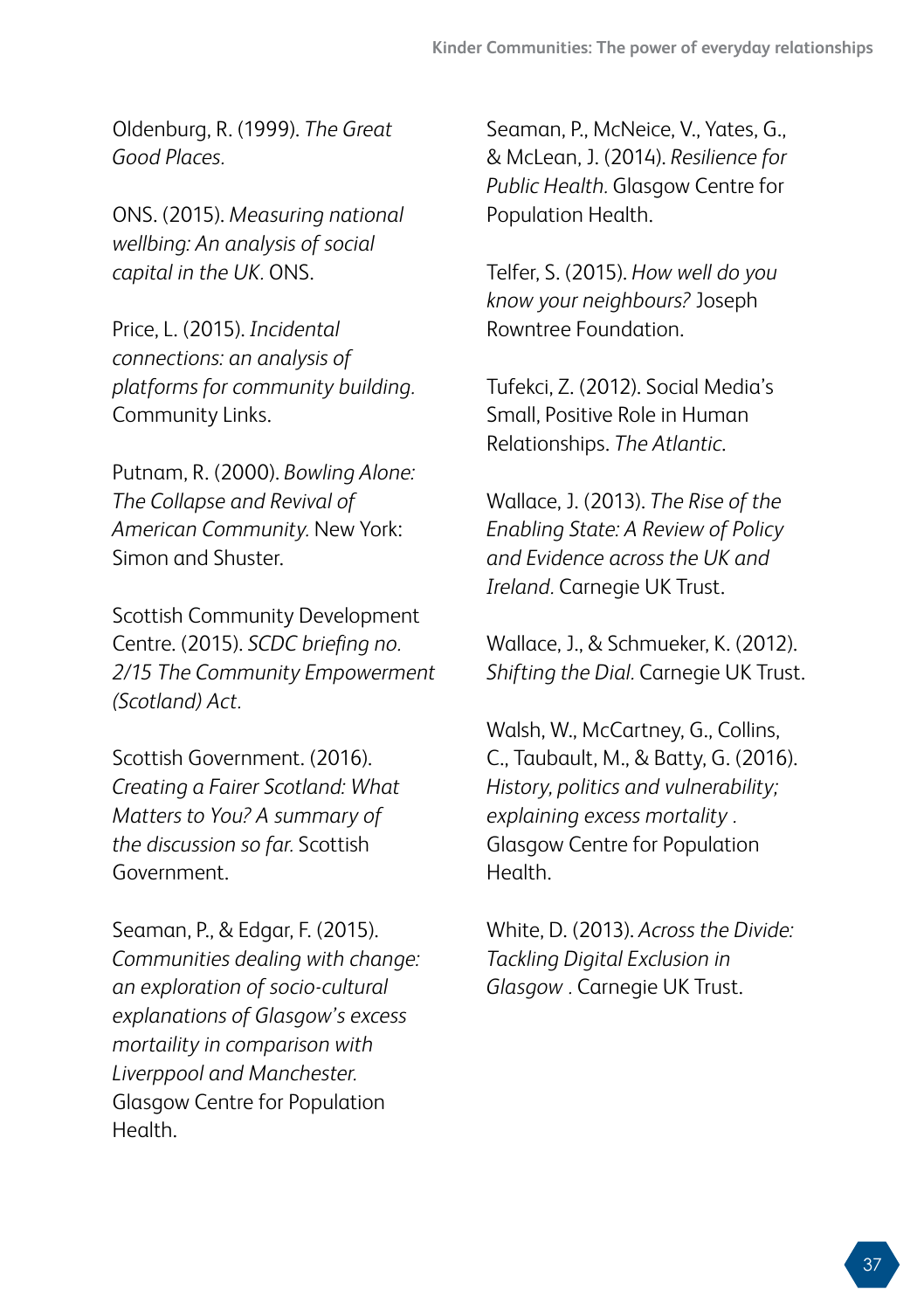Oldenburg, R. (1999). *The Great Good Places.*

ONS. (2015). *Measuring national wellbing: An analysis of social capital in the UK.* ONS.

Price, L. (2015). *Incidental connections: an analysis of platforms for community building.* Community Links.

Putnam, R. (2000). *Bowling Alone: The Collapse and Revival of American Community.* New York: Simon and Shuster.

Scottish Community Development Centre. (2015). *SCDC briefing no. 2/15 The Community Empowerment (Scotland) Act.*

Scottish Government. (2016). *Creating a Fairer Scotland: What Matters to You? A summary of the discussion so far.* Scottish Government.

Seaman, P., & Edgar, F. (2015). *Communities dealing with change: an exploration of socio-cultural explanations of Glasgow's excess mortaility in comparison with Liverppool and Manchester.* Glasgow Centre for Population Health.

Seaman, P., McNeice, V., Yates, G., & McLean, J. (2014). *Resilience for Public Health.* Glasgow Centre for Population Health.

Telfer, S. (2015). *How well do you know your neighbours?* Joseph Rowntree Foundation.

Tufekci, Z. (2012). Social Media's Small, Positive Role in Human Relationships. *The Atlantic*.

Wallace, J. (2013). *The Rise of the Enabling State: A Review of Policy and Evidence across the UK and Ireland.* Carnegie UK Trust.

Wallace, J., & Schmueker, K. (2012). *Shifting the Dial.* Carnegie UK Trust.

Walsh, W., McCartney, G., Collins, C., Taubault, M., & Batty, G. (2016). *History, politics and vulnerability; explaining excess mortality .* Glasgow Centre for Population Health.

White, D. (2013). *Across the Divide: Tackling Digital Exclusion in Glasgow .* Carnegie UK Trust.